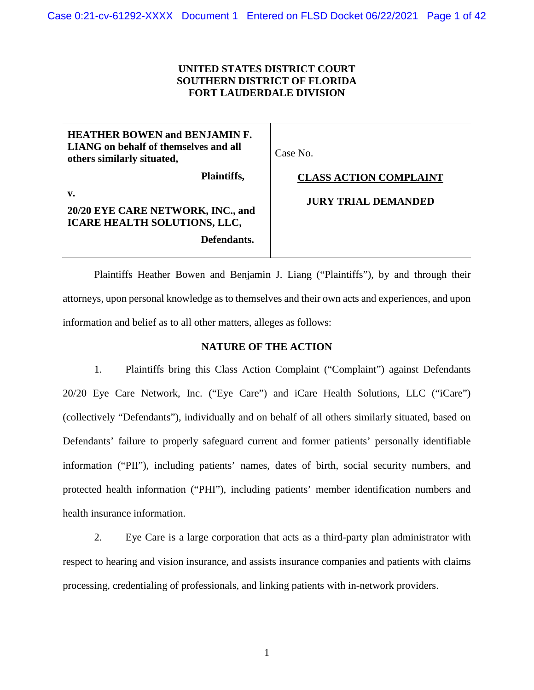# **UNITED STATES DISTRICT COURT SOUTHERN DISTRICT OF FLORIDA FORT LAUDERDALE DIVISION**

| <b>HEATHER BOWEN and BENJAMIN F.</b><br><b>LIANG</b> on behalf of themselves and all<br>others similarly situated, | Case No.                      |
|--------------------------------------------------------------------------------------------------------------------|-------------------------------|
| Plaintiffs,                                                                                                        | <b>CLASS ACTION COMPLAINT</b> |
| v.<br>20/20 EYE CARE NETWORK, INC., and<br>ICARE HEALTH SOLUTIONS, LLC,<br>Defendants.                             | <b>JURY TRIAL DEMANDED</b>    |

Plaintiffs Heather Bowen and Benjamin J. Liang ("Plaintiffs"), by and through their attorneys, upon personal knowledge as to themselves and their own acts and experiences, and upon information and belief as to all other matters, alleges as follows:

## **NATURE OF THE ACTION**

1. Plaintiffs bring this Class Action Complaint ("Complaint") against Defendants 20/20 Eye Care Network, Inc. ("Eye Care") and iCare Health Solutions, LLC ("iCare") (collectively "Defendants"), individually and on behalf of all others similarly situated, based on Defendants' failure to properly safeguard current and former patients' personally identifiable information ("PII"), including patients' names, dates of birth, social security numbers, and protected health information ("PHI"), including patients' member identification numbers and health insurance information.

2. Eye Care is a large corporation that acts as a third-party plan administrator with respect to hearing and vision insurance, and assists insurance companies and patients with claims processing, credentialing of professionals, and linking patients with in-network providers.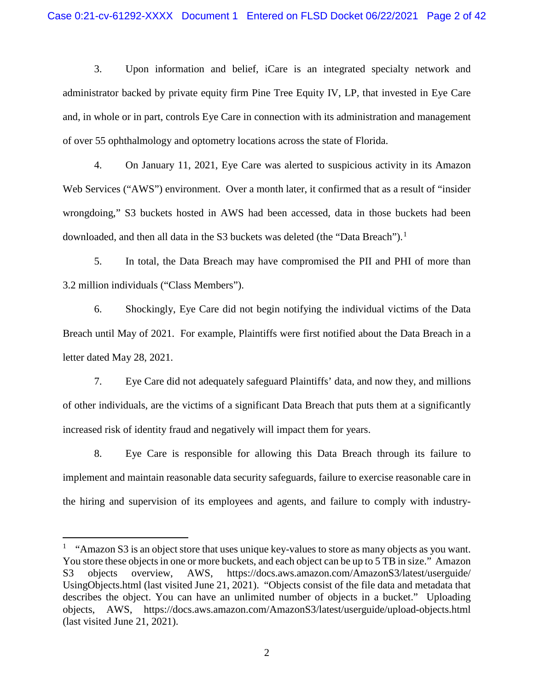3. Upon information and belief, iCare is an integrated specialty network and administrator backed by private equity firm Pine Tree Equity IV, LP, that invested in Eye Care and, in whole or in part, controls Eye Care in connection with its administration and management of over 55 ophthalmology and optometry locations across the state of Florida.

4. On January 11, 2021, Eye Care was alerted to suspicious activity in its Amazon Web Services ("AWS") environment. Over a month later, it confirmed that as a result of "insider" wrongdoing," S3 buckets hosted in AWS had been accessed, data in those buckets had been downloaded, and then all data in the S3 buckets was deleted (the "Data Breach").<sup>[1](#page-1-0)</sup>

5. In total, the Data Breach may have compromised the PII and PHI of more than 3.2 million individuals ("Class Members").

6. Shockingly, Eye Care did not begin notifying the individual victims of the Data Breach until May of 2021. For example, Plaintiffs were first notified about the Data Breach in a letter dated May 28, 2021.

7. Eye Care did not adequately safeguard Plaintiffs' data, and now they, and millions of other individuals, are the victims of a significant Data Breach that puts them at a significantly increased risk of identity fraud and negatively will impact them for years.

8. Eye Care is responsible for allowing this Data Breach through its failure to implement and maintain reasonable data security safeguards, failure to exercise reasonable care in the hiring and supervision of its employees and agents, and failure to comply with industry-

 $\overline{a}$ 

<span id="page-1-0"></span><sup>&</sup>lt;sup>1</sup> "Amazon S3 is an object store that uses unique key-values to store as many objects as you want. You store these objects in one or more buckets, and each object can be up to 5 TB in size." Amazon S3 objects overview, AWS, https://docs.aws.amazon.com/AmazonS3/latest/userguide/ UsingObjects.html (last visited June 21, 2021). "Objects consist of the file data and metadata that describes the object. You can have an unlimited number of objects in a bucket." Uploading objects, AWS, https://docs.aws.amazon.com/AmazonS3/latest/userguide/upload-objects.html (last visited June 21, 2021).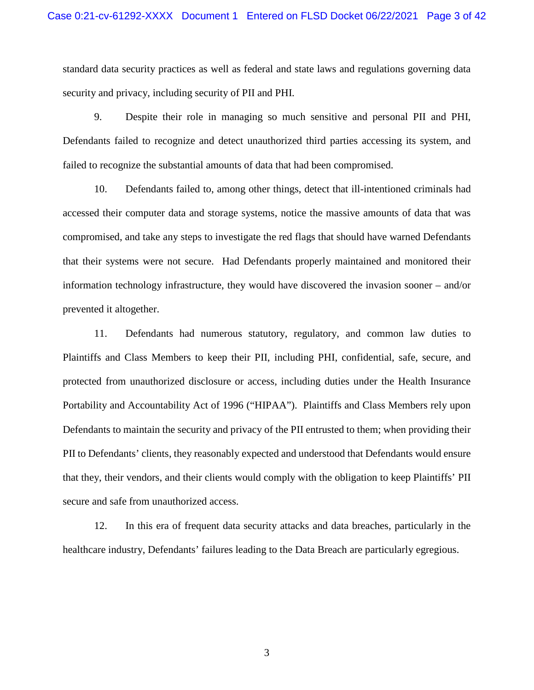standard data security practices as well as federal and state laws and regulations governing data security and privacy, including security of PII and PHI.

9. Despite their role in managing so much sensitive and personal PII and PHI, Defendants failed to recognize and detect unauthorized third parties accessing its system, and failed to recognize the substantial amounts of data that had been compromised.

10. Defendants failed to, among other things, detect that ill-intentioned criminals had accessed their computer data and storage systems, notice the massive amounts of data that was compromised, and take any steps to investigate the red flags that should have warned Defendants that their systems were not secure. Had Defendants properly maintained and monitored their information technology infrastructure, they would have discovered the invasion sooner – and/or prevented it altogether.

11. Defendants had numerous statutory, regulatory, and common law duties to Plaintiffs and Class Members to keep their PII, including PHI, confidential, safe, secure, and protected from unauthorized disclosure or access, including duties under the Health Insurance Portability and Accountability Act of 1996 ("HIPAA"). Plaintiffs and Class Members rely upon Defendants to maintain the security and privacy of the PII entrusted to them; when providing their PII to Defendants' clients, they reasonably expected and understood that Defendants would ensure that they, their vendors, and their clients would comply with the obligation to keep Plaintiffs' PII secure and safe from unauthorized access.

12. In this era of frequent data security attacks and data breaches, particularly in the healthcare industry, Defendants' failures leading to the Data Breach are particularly egregious.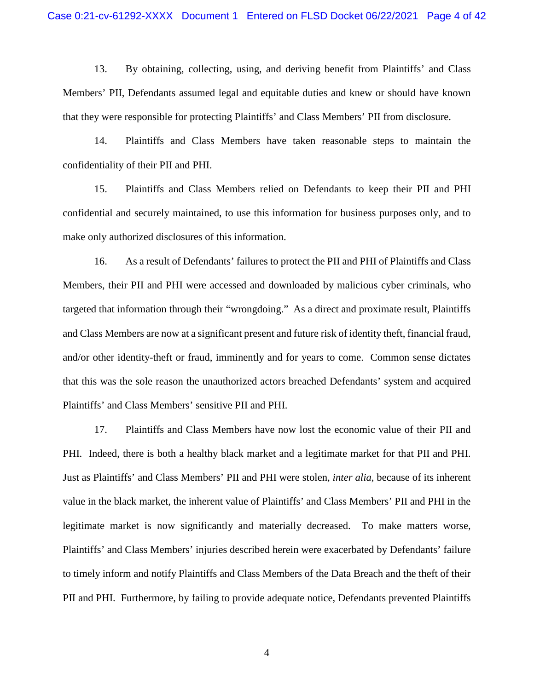13. By obtaining, collecting, using, and deriving benefit from Plaintiffs' and Class Members' PII, Defendants assumed legal and equitable duties and knew or should have known that they were responsible for protecting Plaintiffs' and Class Members' PII from disclosure.

14. Plaintiffs and Class Members have taken reasonable steps to maintain the confidentiality of their PII and PHI.

15. Plaintiffs and Class Members relied on Defendants to keep their PII and PHI confidential and securely maintained, to use this information for business purposes only, and to make only authorized disclosures of this information.

16. As a result of Defendants' failures to protect the PII and PHI of Plaintiffs and Class Members, their PII and PHI were accessed and downloaded by malicious cyber criminals, who targeted that information through their "wrongdoing." As a direct and proximate result, Plaintiffs and Class Members are now at a significant present and future risk of identity theft, financial fraud, and/or other identity-theft or fraud, imminently and for years to come. Common sense dictates that this was the sole reason the unauthorized actors breached Defendants' system and acquired Plaintiffs' and Class Members' sensitive PII and PHI.

17. Plaintiffs and Class Members have now lost the economic value of their PII and PHI. Indeed, there is both a healthy black market and a legitimate market for that PII and PHI. Just as Plaintiffs' and Class Members' PII and PHI were stolen, *inter alia*, because of its inherent value in the black market, the inherent value of Plaintiffs' and Class Members' PII and PHI in the legitimate market is now significantly and materially decreased. To make matters worse, Plaintiffs' and Class Members' injuries described herein were exacerbated by Defendants' failure to timely inform and notify Plaintiffs and Class Members of the Data Breach and the theft of their PII and PHI. Furthermore, by failing to provide adequate notice, Defendants prevented Plaintiffs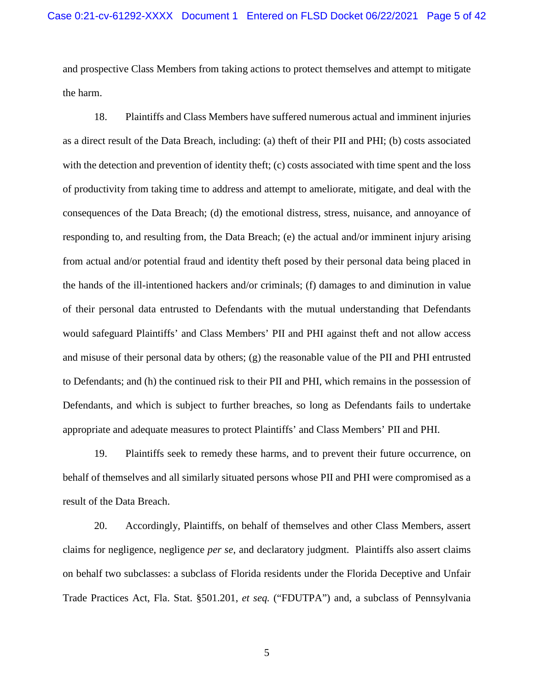and prospective Class Members from taking actions to protect themselves and attempt to mitigate the harm.

18. Plaintiffs and Class Members have suffered numerous actual and imminent injuries as a direct result of the Data Breach, including: (a) theft of their PII and PHI; (b) costs associated with the detection and prevention of identity theft; (c) costs associated with time spent and the loss of productivity from taking time to address and attempt to ameliorate, mitigate, and deal with the consequences of the Data Breach; (d) the emotional distress, stress, nuisance, and annoyance of responding to, and resulting from, the Data Breach; (e) the actual and/or imminent injury arising from actual and/or potential fraud and identity theft posed by their personal data being placed in the hands of the ill-intentioned hackers and/or criminals; (f) damages to and diminution in value of their personal data entrusted to Defendants with the mutual understanding that Defendants would safeguard Plaintiffs' and Class Members' PII and PHI against theft and not allow access and misuse of their personal data by others; (g) the reasonable value of the PII and PHI entrusted to Defendants; and (h) the continued risk to their PII and PHI, which remains in the possession of Defendants, and which is subject to further breaches, so long as Defendants fails to undertake appropriate and adequate measures to protect Plaintiffs' and Class Members' PII and PHI.

19. Plaintiffs seek to remedy these harms, and to prevent their future occurrence, on behalf of themselves and all similarly situated persons whose PII and PHI were compromised as a result of the Data Breach.

20. Accordingly, Plaintiffs, on behalf of themselves and other Class Members, assert claims for negligence, negligence *per se*, and declaratory judgment. Plaintiffs also assert claims on behalf two subclasses: a subclass of Florida residents under the Florida Deceptive and Unfair Trade Practices Act, Fla. Stat. §501.201, *et seq.* ("FDUTPA") and, a subclass of Pennsylvania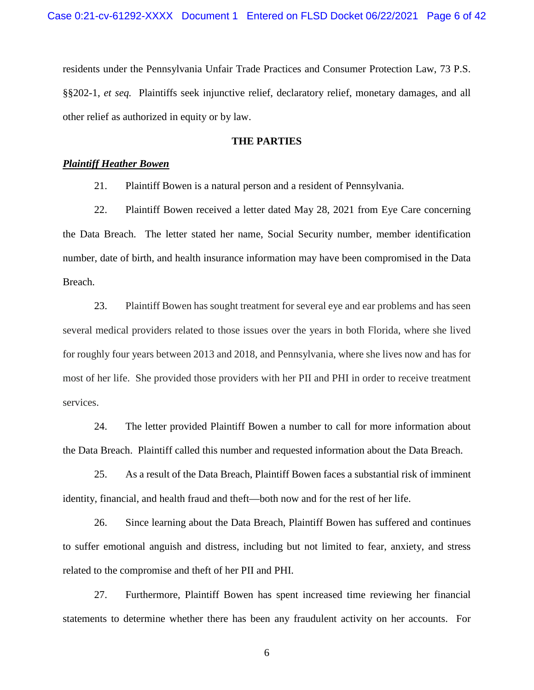residents under the Pennsylvania Unfair Trade Practices and Consumer Protection Law, 73 P.S. §§202-1, *et seq.* Plaintiffs seek injunctive relief, declaratory relief, monetary damages, and all other relief as authorized in equity or by law.

## **THE PARTIES**

## *Plaintiff Heather Bowen*

21. Plaintiff Bowen is a natural person and a resident of Pennsylvania.

22. Plaintiff Bowen received a letter dated May 28, 2021 from Eye Care concerning the Data Breach. The letter stated her name, Social Security number, member identification number, date of birth, and health insurance information may have been compromised in the Data Breach.

23. Plaintiff Bowen has sought treatment for several eye and ear problems and has seen several medical providers related to those issues over the years in both Florida, where she lived for roughly four years between 2013 and 2018, and Pennsylvania, where she lives now and has for most of her life. She provided those providers with her PII and PHI in order to receive treatment services.

24. The letter provided Plaintiff Bowen a number to call for more information about the Data Breach. Plaintiff called this number and requested information about the Data Breach.

25. As a result of the Data Breach, Plaintiff Bowen faces a substantial risk of imminent identity, financial, and health fraud and theft—both now and for the rest of her life.

26. Since learning about the Data Breach, Plaintiff Bowen has suffered and continues to suffer emotional anguish and distress, including but not limited to fear, anxiety, and stress related to the compromise and theft of her PII and PHI.

27. Furthermore, Plaintiff Bowen has spent increased time reviewing her financial statements to determine whether there has been any fraudulent activity on her accounts. For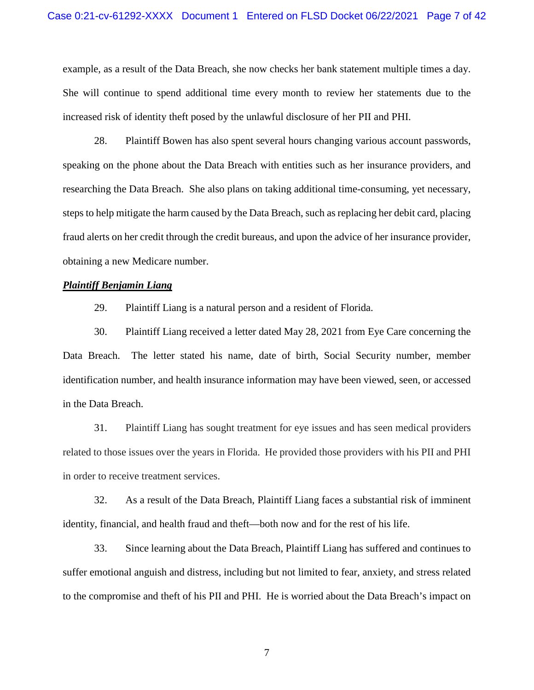example, as a result of the Data Breach, she now checks her bank statement multiple times a day. She will continue to spend additional time every month to review her statements due to the increased risk of identity theft posed by the unlawful disclosure of her PII and PHI.

28. Plaintiff Bowen has also spent several hours changing various account passwords, speaking on the phone about the Data Breach with entities such as her insurance providers, and researching the Data Breach. She also plans on taking additional time-consuming, yet necessary, steps to help mitigate the harm caused by the Data Breach, such as replacing her debit card, placing fraud alerts on her credit through the credit bureaus, and upon the advice of her insurance provider, obtaining a new Medicare number.

# *Plaintiff Benjamin Liang*

29. Plaintiff Liang is a natural person and a resident of Florida.

30. Plaintiff Liang received a letter dated May 28, 2021 from Eye Care concerning the Data Breach. The letter stated his name, date of birth, Social Security number, member identification number, and health insurance information may have been viewed, seen, or accessed in the Data Breach.

31. Plaintiff Liang has sought treatment for eye issues and has seen medical providers related to those issues over the years in Florida. He provided those providers with his PII and PHI in order to receive treatment services.

32. As a result of the Data Breach, Plaintiff Liang faces a substantial risk of imminent identity, financial, and health fraud and theft—both now and for the rest of his life.

33. Since learning about the Data Breach, Plaintiff Liang has suffered and continues to suffer emotional anguish and distress, including but not limited to fear, anxiety, and stress related to the compromise and theft of his PII and PHI. He is worried about the Data Breach's impact on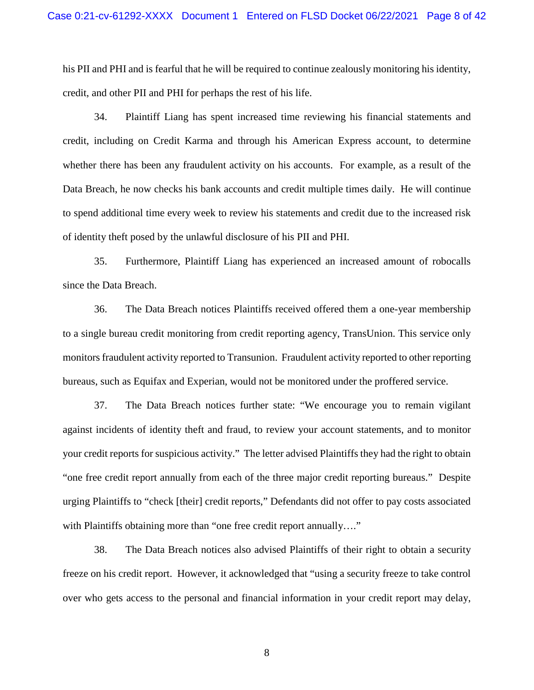his PII and PHI and is fearful that he will be required to continue zealously monitoring his identity, credit, and other PII and PHI for perhaps the rest of his life.

34. Plaintiff Liang has spent increased time reviewing his financial statements and credit, including on Credit Karma and through his American Express account, to determine whether there has been any fraudulent activity on his accounts. For example, as a result of the Data Breach, he now checks his bank accounts and credit multiple times daily. He will continue to spend additional time every week to review his statements and credit due to the increased risk of identity theft posed by the unlawful disclosure of his PII and PHI.

35. Furthermore, Plaintiff Liang has experienced an increased amount of robocalls since the Data Breach.

36. The Data Breach notices Plaintiffs received offered them a one-year membership to a single bureau credit monitoring from credit reporting agency, TransUnion. This service only monitors fraudulent activity reported to Transunion. Fraudulent activity reported to other reporting bureaus, such as Equifax and Experian, would not be monitored under the proffered service.

37. The Data Breach notices further state: "We encourage you to remain vigilant against incidents of identity theft and fraud, to review your account statements, and to monitor your credit reports for suspicious activity." The letter advised Plaintiffs they had the right to obtain "one free credit report annually from each of the three major credit reporting bureaus." Despite urging Plaintiffs to "check [their] credit reports," Defendants did not offer to pay costs associated with Plaintiffs obtaining more than "one free credit report annually...."

38. The Data Breach notices also advised Plaintiffs of their right to obtain a security freeze on his credit report. However, it acknowledged that "using a security freeze to take control over who gets access to the personal and financial information in your credit report may delay,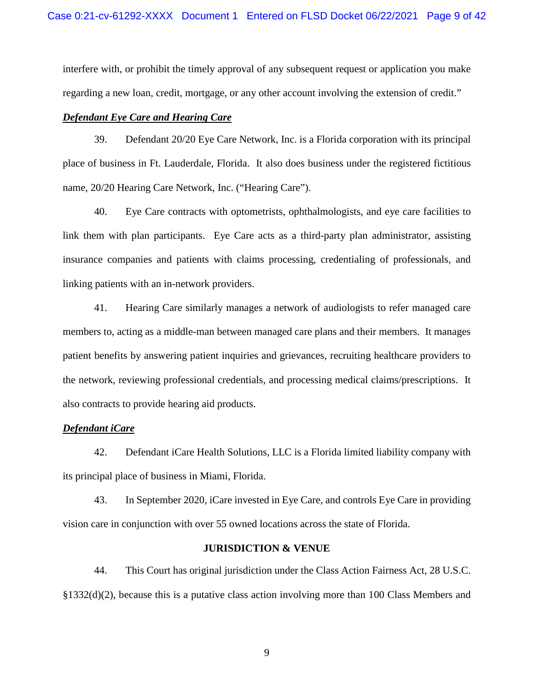interfere with, or prohibit the timely approval of any subsequent request or application you make regarding a new loan, credit, mortgage, or any other account involving the extension of credit."

# *Defendant Eye Care and Hearing Care*

39. Defendant 20/20 Eye Care Network, Inc. is a Florida corporation with its principal place of business in Ft. Lauderdale, Florida. It also does business under the registered fictitious name, 20/20 Hearing Care Network, Inc. ("Hearing Care").

40. Eye Care contracts with optometrists, ophthalmologists, and eye care facilities to link them with plan participants. Eye Care acts as a third-party plan administrator, assisting insurance companies and patients with claims processing, credentialing of professionals, and linking patients with an in-network providers.

41. Hearing Care similarly manages a network of audiologists to refer managed care members to, acting as a middle-man between managed care plans and their members. It manages patient benefits by answering patient inquiries and grievances, recruiting healthcare providers to the network, reviewing professional credentials, and processing medical claims/prescriptions. It also contracts to provide hearing aid products.

## *Defendant iCare*

42. Defendant iCare Health Solutions, LLC is a Florida limited liability company with its principal place of business in Miami, Florida.

43. In September 2020, iCare invested in Eye Care, and controls Eye Care in providing vision care in conjunction with over 55 owned locations across the state of Florida.

#### **JURISDICTION & VENUE**

44. This Court has original jurisdiction under the Class Action Fairness Act, 28 U.S.C. §1332(d)(2), because this is a putative class action involving more than 100 Class Members and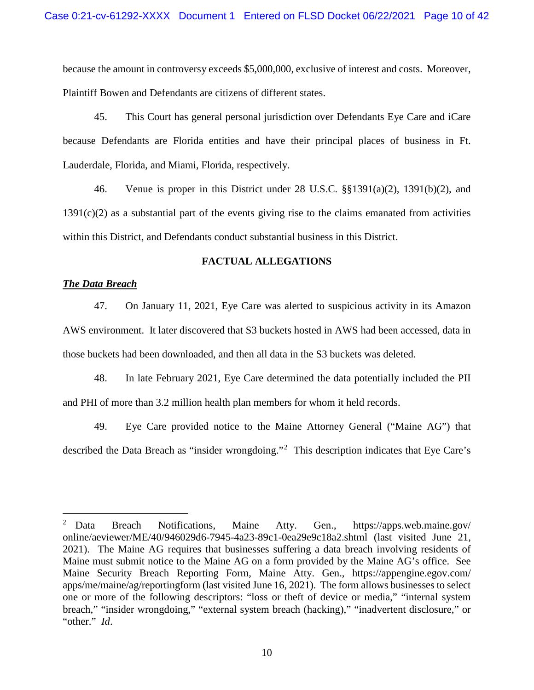because the amount in controversy exceeds \$5,000,000, exclusive of interest and costs. Moreover, Plaintiff Bowen and Defendants are citizens of different states.

45. This Court has general personal jurisdiction over Defendants Eye Care and iCare because Defendants are Florida entities and have their principal places of business in Ft. Lauderdale, Florida, and Miami, Florida, respectively.

46. Venue is proper in this District under 28 U.S.C. §§1391(a)(2), 1391(b)(2), and 1391(c)(2) as a substantial part of the events giving rise to the claims emanated from activities within this District, and Defendants conduct substantial business in this District.

# **FACTUAL ALLEGATIONS**

# *The Data Breach*

 $\overline{a}$ 

47. On January 11, 2021, Eye Care was alerted to suspicious activity in its Amazon AWS environment. It later discovered that S3 buckets hosted in AWS had been accessed, data in those buckets had been downloaded, and then all data in the S3 buckets was deleted.

48. In late February 2021, Eye Care determined the data potentially included the PII and PHI of more than 3.2 million health plan members for whom it held records.

49. Eye Care provided notice to the Maine Attorney General ("Maine AG") that described the Data Breach as "insider wrongdoing."<sup>[2](#page-9-0)</sup> This description indicates that Eye Care's

<span id="page-9-0"></span><sup>2</sup> Data Breach Notifications, Maine Atty. Gen., https://apps.web.maine.gov/ online/aeviewer/ME/40/946029d6-7945-4a23-89c1-0ea29e9c18a2.shtml (last visited June 21, 2021). The Maine AG requires that businesses suffering a data breach involving residents of Maine must submit notice to the Maine AG on a form provided by the Maine AG's office. See Maine Security Breach Reporting Form, Maine Atty. Gen., https://appengine.egov.com/ apps/me/maine/ag/reportingform (last visited June 16, 2021). The form allows businesses to select one or more of the following descriptors: "loss or theft of device or media," "internal system breach," "insider wrongdoing," "external system breach (hacking)," "inadvertent disclosure," or "other." *Id*.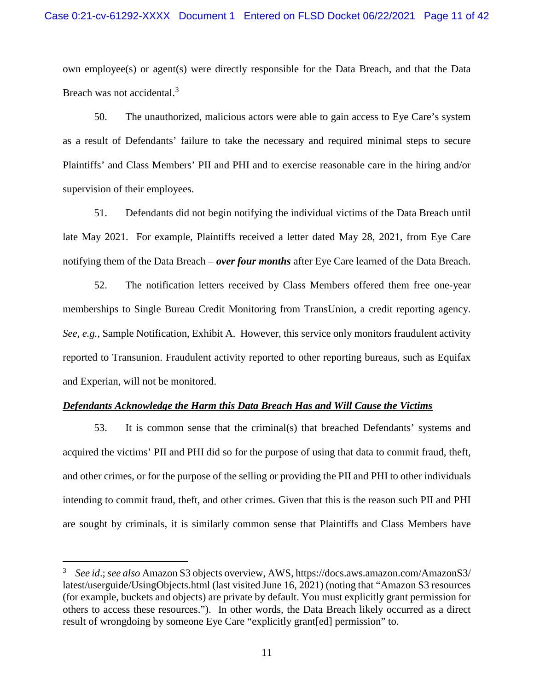own employee(s) or agent(s) were directly responsible for the Data Breach, and that the Data Breach was not accidental.<sup>[3](#page-10-0)</sup>

50. The unauthorized, malicious actors were able to gain access to Eye Care's system as a result of Defendants' failure to take the necessary and required minimal steps to secure Plaintiffs' and Class Members' PII and PHI and to exercise reasonable care in the hiring and/or supervision of their employees.

51. Defendants did not begin notifying the individual victims of the Data Breach until late May 2021. For example, Plaintiffs received a letter dated May 28, 2021, from Eye Care notifying them of the Data Breach – *over four months* after Eye Care learned of the Data Breach.

52. The notification letters received by Class Members offered them free one-year memberships to Single Bureau Credit Monitoring from TransUnion, a credit reporting agency. *See, e.g.*, Sample Notification, Exhibit A. However, this service only monitors fraudulent activity reported to Transunion. Fraudulent activity reported to other reporting bureaus, such as Equifax and Experian, will not be monitored.

#### *Defendants Acknowledge the Harm this Data Breach Has and Will Cause the Victims*

53. It is common sense that the criminal(s) that breached Defendants' systems and acquired the victims' PII and PHI did so for the purpose of using that data to commit fraud, theft, and other crimes, or for the purpose of the selling or providing the PII and PHI to other individuals intending to commit fraud, theft, and other crimes. Given that this is the reason such PII and PHI are sought by criminals, it is similarly common sense that Plaintiffs and Class Members have

 $\overline{a}$ 

<span id="page-10-0"></span><sup>3</sup> *See id*.; *see also* Amazon S3 objects overview, AWS, https://docs.aws.amazon.com/AmazonS3/ latest/userguide/UsingObjects.html (last visited June 16, 2021) (noting that "Amazon S3 resources (for example, buckets and objects) are private by default. You must explicitly grant permission for others to access these resources."). In other words, the Data Breach likely occurred as a direct result of wrongdoing by someone Eye Care "explicitly grant[ed] permission" to.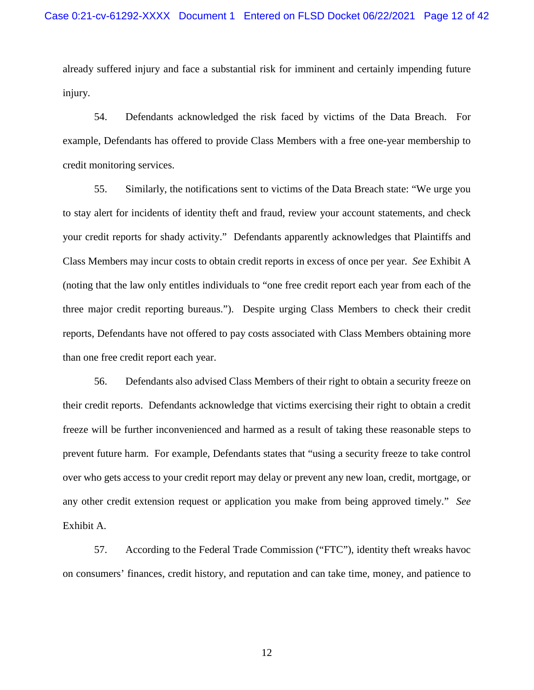already suffered injury and face a substantial risk for imminent and certainly impending future injury.

54. Defendants acknowledged the risk faced by victims of the Data Breach. For example, Defendants has offered to provide Class Members with a free one-year membership to credit monitoring services.

55. Similarly, the notifications sent to victims of the Data Breach state: "We urge you to stay alert for incidents of identity theft and fraud, review your account statements, and check your credit reports for shady activity." Defendants apparently acknowledges that Plaintiffs and Class Members may incur costs to obtain credit reports in excess of once per year. *See* Exhibit A (noting that the law only entitles individuals to "one free credit report each year from each of the three major credit reporting bureaus."). Despite urging Class Members to check their credit reports, Defendants have not offered to pay costs associated with Class Members obtaining more than one free credit report each year.

56. Defendants also advised Class Members of their right to obtain a security freeze on their credit reports. Defendants acknowledge that victims exercising their right to obtain a credit freeze will be further inconvenienced and harmed as a result of taking these reasonable steps to prevent future harm. For example, Defendants states that "using a security freeze to take control over who gets access to your credit report may delay or prevent any new loan, credit, mortgage, or any other credit extension request or application you make from being approved timely." *See* Exhibit A.

57. According to the Federal Trade Commission ("FTC"), identity theft wreaks havoc on consumers' finances, credit history, and reputation and can take time, money, and patience to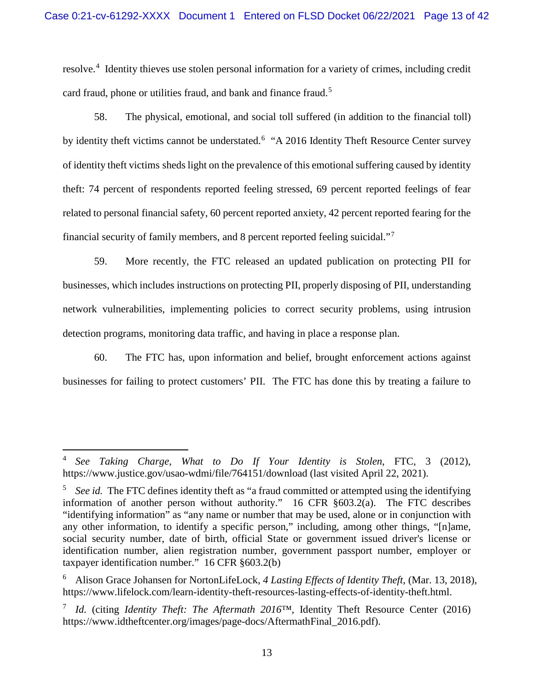resolve.<sup>[4](#page-12-0)</sup> Identity thieves use stolen personal information for a variety of crimes, including credit card fraud, phone or utilities fraud, and bank and finance fraud.<sup>[5](#page-12-1)</sup>

58. The physical, emotional, and social toll suffered (in addition to the financial toll) by identity theft victims cannot be understated.<sup>[6](#page-12-2)</sup> "A 2016 Identity Theft Resource Center survey of identity theft victims sheds light on the prevalence of this emotional suffering caused by identity theft: 74 percent of respondents reported feeling stressed, 69 percent reported feelings of fear related to personal financial safety, 60 percent reported anxiety, 42 percent reported fearing for the financial security of family members, and 8 percent reported feeling suicidal."[7](#page-12-3)

59. More recently, the FTC released an updated publication on protecting PII for businesses, which includes instructions on protecting PII, properly disposing of PII, understanding network vulnerabilities, implementing policies to correct security problems, using intrusion detection programs, monitoring data traffic, and having in place a response plan.

60. The FTC has, upon information and belief, brought enforcement actions against businesses for failing to protect customers' PII. The FTC has done this by treating a failure to

 $\overline{a}$ 

<span id="page-12-0"></span><sup>4</sup> *See Taking Charge, What to Do If Your Identity is Stolen*, FTC, 3 (2012), https://www.justice.gov/usao-wdmi/file/764151/download (last visited April 22, 2021).

<span id="page-12-1"></span><sup>&</sup>lt;sup>5</sup> *See id.* The FTC defines identity theft as "a fraud committed or attempted using the identifying information of another person without authority." 16 CFR §603.2(a). The FTC describes "identifying information" as "any name or number that may be used, alone or in conjunction with any other information, to identify a specific person," including, among other things, "[n]ame, social security number, date of birth, official State or government issued driver's license or identification number, alien registration number, government passport number, employer or taxpayer identification number." 16 CFR §603.2(b)

<span id="page-12-2"></span><sup>6</sup> Alison Grace Johansen for NortonLifeLock, *4 Lasting Effects of Identity Theft*, (Mar. 13, 2018), https://www.lifelock.com/learn-identity-theft-resources-lasting-effects-of-identity-theft.html.

<span id="page-12-3"></span><sup>7</sup> *Id.* (citing *Identity Theft: The Aftermath 2016™,* Identity Theft Resource Center (2016) https://www.idtheftcenter.org/images/page-docs/AftermathFinal\_2016.pdf).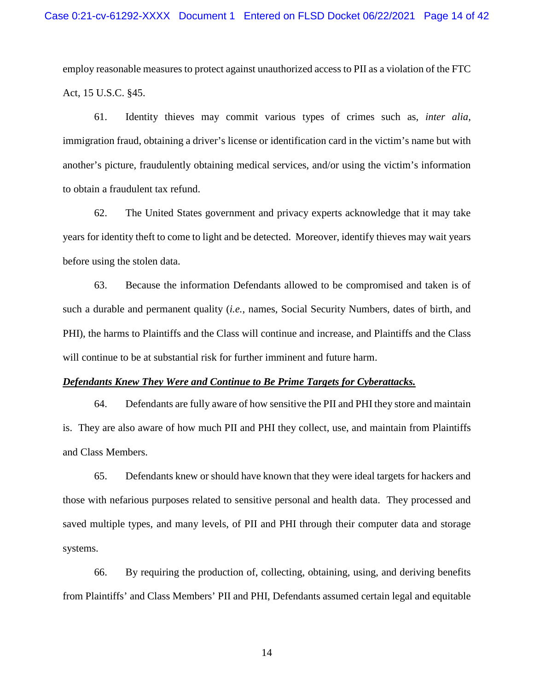employ reasonable measures to protect against unauthorized access to PII as a violation of the FTC Act, 15 U.S.C. §45.

61. Identity thieves may commit various types of crimes such as, *inter alia*, immigration fraud, obtaining a driver's license or identification card in the victim's name but with another's picture, fraudulently obtaining medical services, and/or using the victim's information to obtain a fraudulent tax refund.

62. The United States government and privacy experts acknowledge that it may take years for identity theft to come to light and be detected. Moreover, identify thieves may wait years before using the stolen data.

63. Because the information Defendants allowed to be compromised and taken is of such a durable and permanent quality (*i.e.*, names, Social Security Numbers, dates of birth, and PHI), the harms to Plaintiffs and the Class will continue and increase, and Plaintiffs and the Class will continue to be at substantial risk for further imminent and future harm.

## *Defendants Knew They Were and Continue to Be Prime Targets for Cyberattacks.*

64. Defendants are fully aware of how sensitive the PII and PHI they store and maintain is. They are also aware of how much PII and PHI they collect, use, and maintain from Plaintiffs and Class Members.

65. Defendants knew or should have known that they were ideal targets for hackers and those with nefarious purposes related to sensitive personal and health data. They processed and saved multiple types, and many levels, of PII and PHI through their computer data and storage systems.

66. By requiring the production of, collecting, obtaining, using, and deriving benefits from Plaintiffs' and Class Members' PII and PHI, Defendants assumed certain legal and equitable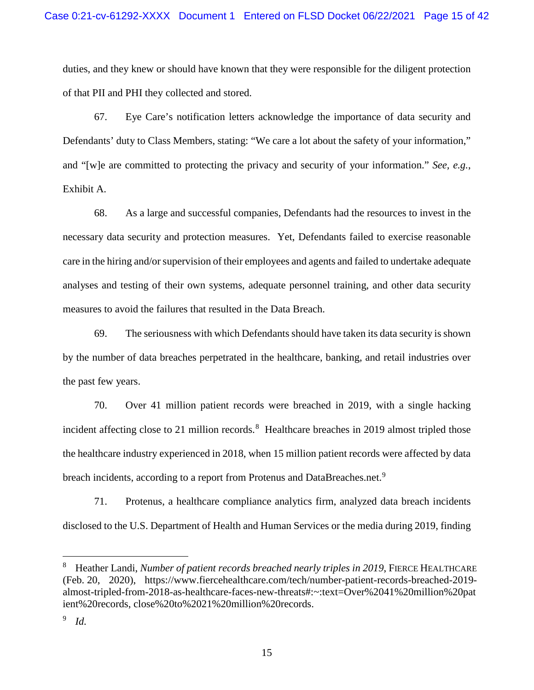duties, and they knew or should have known that they were responsible for the diligent protection of that PII and PHI they collected and stored.

67. Eye Care's notification letters acknowledge the importance of data security and Defendants' duty to Class Members, stating: "We care a lot about the safety of your information," and "[w]e are committed to protecting the privacy and security of your information." *See, e.g.*, Exhibit A.

68. As a large and successful companies, Defendants had the resources to invest in the necessary data security and protection measures. Yet, Defendants failed to exercise reasonable care in the hiring and/or supervision of their employees and agents and failed to undertake adequate analyses and testing of their own systems, adequate personnel training, and other data security measures to avoid the failures that resulted in the Data Breach.

69. The seriousness with which Defendants should have taken its data security is shown by the number of data breaches perpetrated in the healthcare, banking, and retail industries over the past few years.

70. Over 41 million patient records were breached in 2019, with a single hacking incident affecting close to 21 million records.<sup>[8](#page-14-0)</sup> Healthcare breaches in 2019 almost tripled those the healthcare industry experienced in 2018, when 15 million patient records were affected by data breach incidents, according to a report from Protenus and DataBreaches.net.<sup>[9](#page-14-1)</sup>

71. Protenus, a healthcare compliance analytics firm, analyzed data breach incidents disclosed to the U.S. Department of Health and Human Services or the media during 2019, finding

 $\overline{a}$ 

<span id="page-14-0"></span><sup>8</sup> Heather Landi, *Number of patient records breached nearly triples in 2019*, FIERCE HEALTHCARE (Feb. 20, 2020), https://www.fiercehealthcare.com/tech/number-patient-records-breached-2019 almost-tripled-from-2018-as-healthcare-faces-new-threats#:~:text=Over%2041%20million%20pat ient%20records, close%20to%2021%20million%20records.

<span id="page-14-1"></span><sup>9</sup> *Id.*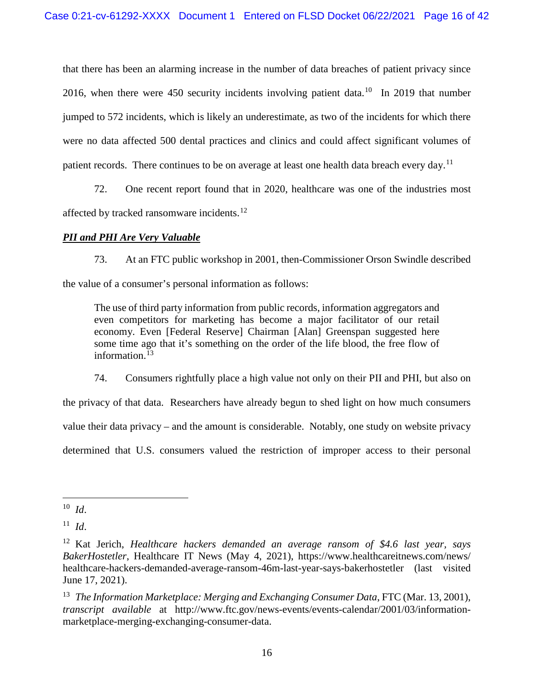that there has been an alarming increase in the number of data breaches of patient privacy since 2016, when there were 450 security incidents involving patient data.<sup>10</sup> In 2019 that number jumped to 572 incidents, which is likely an underestimate, as two of the incidents for which there were no data affected 500 dental practices and clinics and could affect significant volumes of patient records. There continues to be on average at least one health data breach every day.<sup>[11](#page-15-1)</sup>

72. One recent report found that in 2020, healthcare was one of the industries most affected by tracked ransomware incidents.<sup>[12](#page-15-2)</sup>

# *PII and PHI Are Very Valuable*

73. At an FTC public workshop in 2001, then-Commissioner Orson Swindle described the value of a consumer's personal information as follows:

The use of third party information from public records, information aggregators and even competitors for marketing has become a major facilitator of our retail economy. Even [Federal Reserve] Chairman [Alan] Greenspan suggested here some time ago that it's something on the order of the life blood, the free flow of information.<sup> $13$ </sup>

74. Consumers rightfully place a high value not only on their PII and PHI, but also on

the privacy of that data. Researchers have already begun to shed light on how much consumers

value their data privacy – and the amount is considerable. Notably, one study on website privacy

determined that U.S. consumers valued the restriction of improper access to their personal

 $\overline{a}$ 

<span id="page-15-0"></span> $10$  *Id.* 

<span id="page-15-1"></span><sup>11</sup> *Id*.

<span id="page-15-2"></span><sup>12</sup> Kat Jerich, *Healthcare hackers demanded an average ransom of \$4.6 last year, says BakerHostetler*, Healthcare IT News (May 4, 2021), https://www.healthcareitnews.com/news/ healthcare-hackers-demanded-average-ransom-46m-last-year-says-bakerhostetler (last visited June 17, 2021).

<span id="page-15-3"></span><sup>&</sup>lt;sup>13</sup> *The Information Marketplace: Merging and Exchanging Consumer Data, FTC (Mar. 13, 2001), transcript available* at http://www.ftc.gov/news-events/events-calendar/2001/03/informationmarketplace-merging-exchanging-consumer-data.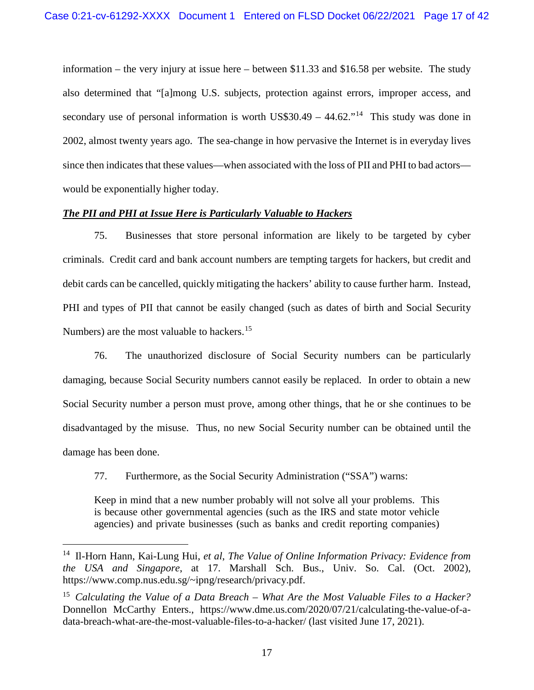information – the very injury at issue here – between \$11.33 and \$16.58 per website. The study also determined that "[a]mong U.S. subjects, protection against errors, improper access, and secondary use of personal information is worth US\$30.49 –  $44.62$ ."<sup>[14](#page-16-0)</sup> This study was done in 2002, almost twenty years ago. The sea-change in how pervasive the Internet is in everyday lives since then indicates that these values—when associated with the loss of PII and PHI to bad actors would be exponentially higher today.

# *The PII and PHI at Issue Here is Particularly Valuable to Hackers*

75. Businesses that store personal information are likely to be targeted by cyber criminals. Credit card and bank account numbers are tempting targets for hackers, but credit and debit cards can be cancelled, quickly mitigating the hackers' ability to cause further harm. Instead, PHI and types of PII that cannot be easily changed (such as dates of birth and Social Security Numbers) are the most valuable to hackers.<sup>[15](#page-16-1)</sup>

76. The unauthorized disclosure of Social Security numbers can be particularly damaging, because Social Security numbers cannot easily be replaced. In order to obtain a new Social Security number a person must prove, among other things, that he or she continues to be disadvantaged by the misuse. Thus, no new Social Security number can be obtained until the damage has been done.

77. Furthermore, as the Social Security Administration ("SSA") warns:

 $\overline{a}$ 

Keep in mind that a new number probably will not solve all your problems. This is because other governmental agencies (such as the IRS and state motor vehicle agencies) and private businesses (such as banks and credit reporting companies)

<span id="page-16-0"></span><sup>14</sup> Il-Horn Hann, Kai-Lung Hui, *et al*, *The Value of Online Information Privacy: Evidence from the USA and Singapore*, at 17. Marshall Sch. Bus., Univ. So. Cal. (Oct. 2002), https://www.comp.nus.edu.sg/~ipng/research/privacy.pdf.

<span id="page-16-1"></span><sup>15</sup> *Calculating the Value of a Data Breach – What Are the Most Valuable Files to a Hacker?* Donnellon McCarthy Enters., https://www.dme.us.com/2020/07/21/calculating-the-value-of-adata-breach-what-are-the-most-valuable-files-to-a-hacker/ (last visited June 17, 2021).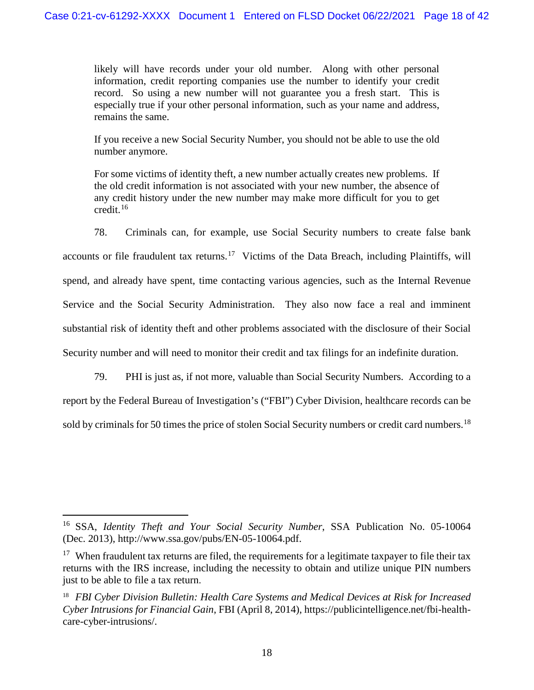likely will have records under your old number. Along with other personal information, credit reporting companies use the number to identify your credit record. So using a new number will not guarantee you a fresh start. This is especially true if your other personal information, such as your name and address, remains the same.

If you receive a new Social Security Number, you should not be able to use the old number anymore.

For some victims of identity theft, a new number actually creates new problems. If the old credit information is not associated with your new number, the absence of any credit history under the new number may make more difficult for you to get credit.[16](#page-17-0)

78. Criminals can, for example, use Social Security numbers to create false bank accounts or file fraudulent tax returns.<sup>17</sup> Victims of the Data Breach, including Plaintiffs, will spend, and already have spent, time contacting various agencies, such as the Internal Revenue Service and the Social Security Administration. They also now face a real and imminent substantial risk of identity theft and other problems associated with the disclosure of their Social Security number and will need to monitor their credit and tax filings for an indefinite duration.

79. PHI is just as, if not more, valuable than Social Security Numbers. According to a report by the Federal Bureau of Investigation's ("FBI") Cyber Division, healthcare records can be sold by criminals for 50 times the price of stolen Social Security numbers or credit card numbers.<sup>[18](#page-17-2)</sup>

 $\overline{a}$ 

<span id="page-17-0"></span><sup>16</sup> SSA, *Identity Theft and Your Social Security Number*, SSA Publication No. 05-10064 (Dec. 2013), http://www.ssa.gov/pubs/EN-05-10064.pdf.

<span id="page-17-1"></span><sup>&</sup>lt;sup>17</sup> When fraudulent tax returns are filed, the requirements for a legitimate taxpayer to file their tax returns with the IRS increase, including the necessity to obtain and utilize unique PIN numbers just to be able to file a tax return.

<span id="page-17-2"></span><sup>18</sup> *FBI Cyber Division Bulletin: Health Care Systems and Medical Devices at Risk for Increased Cyber Intrusions for Financial Gain*, FBI (April 8, 2014), https://publicintelligence.net/fbi-healthcare-cyber-intrusions/.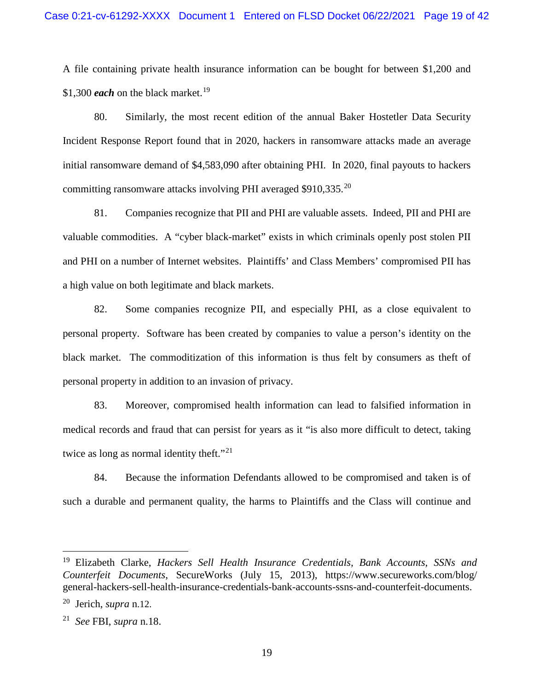A file containing private health insurance information can be bought for between \$1,200 and \$1,300 *each* on the black market.<sup>[19](#page-18-0)</sup>

80. Similarly, the most recent edition of the annual Baker Hostetler Data Security Incident Response Report found that in 2020, hackers in ransomware attacks made an average initial ransomware demand of \$4,583,090 after obtaining PHI. In 2020, final payouts to hackers committing ransomware attacks involving PHI averaged \$910,335.[20](#page-18-1)

81. Companies recognize that PII and PHI are valuable assets. Indeed, PII and PHI are valuable commodities. A "cyber black-market" exists in which criminals openly post stolen PII and PHI on a number of Internet websites. Plaintiffs' and Class Members' compromised PII has a high value on both legitimate and black markets.

82. Some companies recognize PII, and especially PHI, as a close equivalent to personal property. Software has been created by companies to value a person's identity on the black market. The commoditization of this information is thus felt by consumers as theft of personal property in addition to an invasion of privacy.

83. Moreover, compromised health information can lead to falsified information in medical records and fraud that can persist for years as it "is also more difficult to detect, taking twice as long as normal identity theft."<sup>[21](#page-18-2)</sup>

84. Because the information Defendants allowed to be compromised and taken is of such a durable and permanent quality, the harms to Plaintiffs and the Class will continue and

 $\overline{a}$ 

<span id="page-18-0"></span><sup>19</sup> Elizabeth Clarke, *Hackers Sell Health Insurance Credentials, Bank Accounts, SSNs and Counterfeit Documents*, SecureWorks (July 15, 2013), https://www.secureworks.com/blog/ general-hackers-sell-health-insurance-credentials-bank-accounts-ssns-and-counterfeit-documents.

<span id="page-18-1"></span><sup>20</sup> Jerich, *supra* n.12.

<span id="page-18-2"></span><sup>21</sup> *See* FBI, *supra* n.18.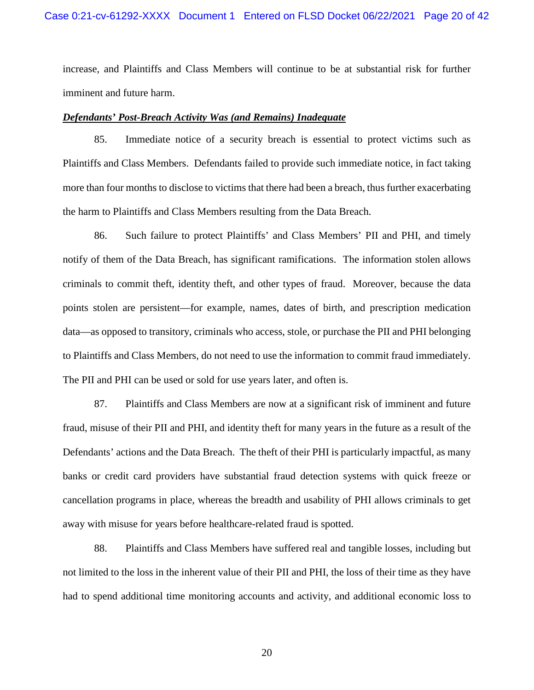increase, and Plaintiffs and Class Members will continue to be at substantial risk for further imminent and future harm.

# *Defendants' Post-Breach Activity Was (and Remains) Inadequate*

85. Immediate notice of a security breach is essential to protect victims such as Plaintiffs and Class Members. Defendants failed to provide such immediate notice, in fact taking more than four months to disclose to victims that there had been a breach, thus further exacerbating the harm to Plaintiffs and Class Members resulting from the Data Breach.

86. Such failure to protect Plaintiffs' and Class Members' PII and PHI, and timely notify of them of the Data Breach, has significant ramifications. The information stolen allows criminals to commit theft, identity theft, and other types of fraud. Moreover, because the data points stolen are persistent—for example, names, dates of birth, and prescription medication data—as opposed to transitory, criminals who access, stole, or purchase the PII and PHI belonging to Plaintiffs and Class Members, do not need to use the information to commit fraud immediately. The PII and PHI can be used or sold for use years later, and often is.

87. Plaintiffs and Class Members are now at a significant risk of imminent and future fraud, misuse of their PII and PHI, and identity theft for many years in the future as a result of the Defendants' actions and the Data Breach. The theft of their PHI is particularly impactful, as many banks or credit card providers have substantial fraud detection systems with quick freeze or cancellation programs in place, whereas the breadth and usability of PHI allows criminals to get away with misuse for years before healthcare-related fraud is spotted.

88. Plaintiffs and Class Members have suffered real and tangible losses, including but not limited to the loss in the inherent value of their PII and PHI, the loss of their time as they have had to spend additional time monitoring accounts and activity, and additional economic loss to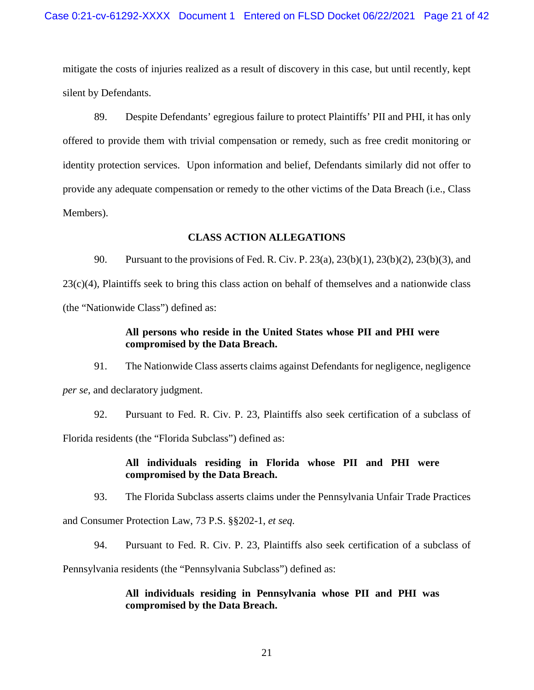mitigate the costs of injuries realized as a result of discovery in this case, but until recently, kept silent by Defendants.

89. Despite Defendants' egregious failure to protect Plaintiffs' PII and PHI, it has only offered to provide them with trivial compensation or remedy, such as free credit monitoring or identity protection services. Upon information and belief, Defendants similarly did not offer to provide any adequate compensation or remedy to the other victims of the Data Breach (i.e., Class Members).

## **CLASS ACTION ALLEGATIONS**

90. Pursuant to the provisions of Fed. R. Civ. P. 23(a), 23(b)(1), 23(b)(2), 23(b)(3), and 23(c)(4), Plaintiffs seek to bring this class action on behalf of themselves and a nationwide class (the "Nationwide Class") defined as:

# **All persons who reside in the United States whose PII and PHI were compromised by the Data Breach.**

91. The Nationwide Class asserts claims against Defendants for negligence, negligence *per se*, and declaratory judgment.

92. Pursuant to Fed. R. Civ. P. 23, Plaintiffs also seek certification of a subclass of Florida residents (the "Florida Subclass") defined as:

# **All individuals residing in Florida whose PII and PHI were compromised by the Data Breach.**

93. The Florida Subclass asserts claims under the Pennsylvania Unfair Trade Practices

and Consumer Protection Law, 73 P.S. §§202-1, *et seq.*

94. Pursuant to Fed. R. Civ. P. 23, Plaintiffs also seek certification of a subclass of

Pennsylvania residents (the "Pennsylvania Subclass") defined as:

# **All individuals residing in Pennsylvania whose PII and PHI was compromised by the Data Breach.**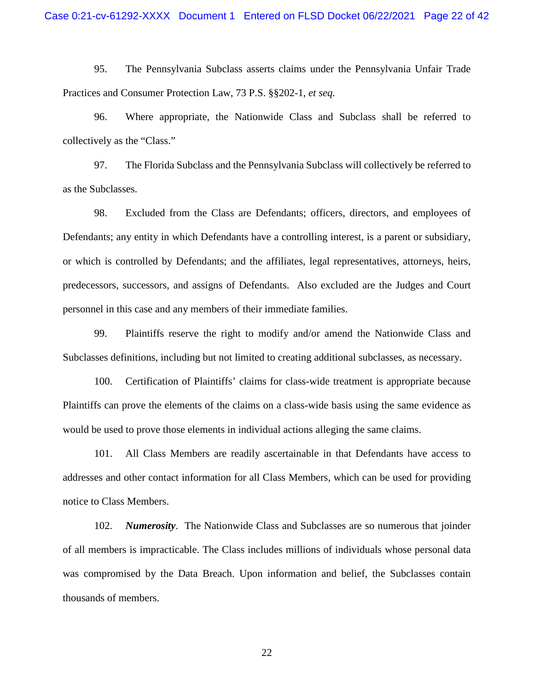95. The Pennsylvania Subclass asserts claims under the Pennsylvania Unfair Trade Practices and Consumer Protection Law, 73 P.S. §§202-1, *et seq.*

96. Where appropriate, the Nationwide Class and Subclass shall be referred to collectively as the "Class."

97. The Florida Subclass and the Pennsylvania Subclass will collectively be referred to as the Subclasses.

98. Excluded from the Class are Defendants; officers, directors, and employees of Defendants; any entity in which Defendants have a controlling interest, is a parent or subsidiary, or which is controlled by Defendants; and the affiliates, legal representatives, attorneys, heirs, predecessors, successors, and assigns of Defendants. Also excluded are the Judges and Court personnel in this case and any members of their immediate families.

99. Plaintiffs reserve the right to modify and/or amend the Nationwide Class and Subclasses definitions, including but not limited to creating additional subclasses, as necessary.

100. Certification of Plaintiffs' claims for class-wide treatment is appropriate because Plaintiffs can prove the elements of the claims on a class-wide basis using the same evidence as would be used to prove those elements in individual actions alleging the same claims.

101. All Class Members are readily ascertainable in that Defendants have access to addresses and other contact information for all Class Members, which can be used for providing notice to Class Members.

102. *Numerosity*. The Nationwide Class and Subclasses are so numerous that joinder of all members is impracticable. The Class includes millions of individuals whose personal data was compromised by the Data Breach. Upon information and belief, the Subclasses contain thousands of members.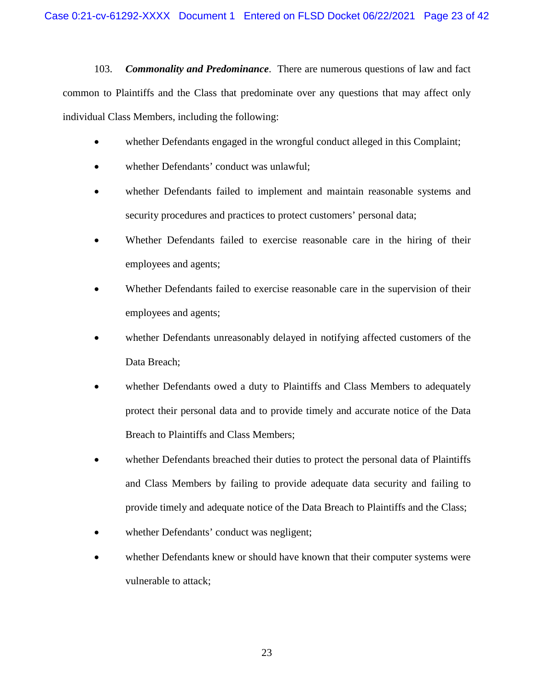103. *Commonality and Predominance*. There are numerous questions of law and fact common to Plaintiffs and the Class that predominate over any questions that may affect only individual Class Members, including the following:

- whether Defendants engaged in the wrongful conduct alleged in this Complaint;
- whether Defendants' conduct was unlawful;
- whether Defendants failed to implement and maintain reasonable systems and security procedures and practices to protect customers' personal data;
- Whether Defendants failed to exercise reasonable care in the hiring of their employees and agents;
- Whether Defendants failed to exercise reasonable care in the supervision of their employees and agents;
- whether Defendants unreasonably delayed in notifying affected customers of the Data Breach;
- whether Defendants owed a duty to Plaintiffs and Class Members to adequately protect their personal data and to provide timely and accurate notice of the Data Breach to Plaintiffs and Class Members;
- whether Defendants breached their duties to protect the personal data of Plaintiffs and Class Members by failing to provide adequate data security and failing to provide timely and adequate notice of the Data Breach to Plaintiffs and the Class;
- whether Defendants' conduct was negligent;
- whether Defendants knew or should have known that their computer systems were vulnerable to attack;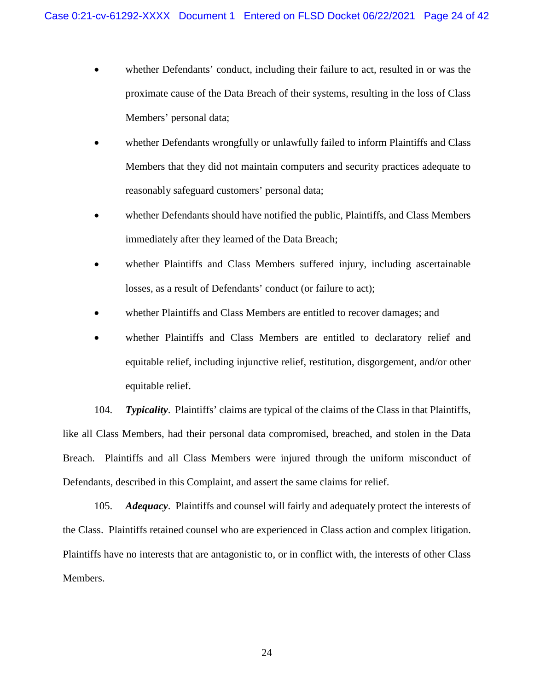- whether Defendants' conduct, including their failure to act, resulted in or was the proximate cause of the Data Breach of their systems, resulting in the loss of Class Members' personal data;
- whether Defendants wrongfully or unlawfully failed to inform Plaintiffs and Class Members that they did not maintain computers and security practices adequate to reasonably safeguard customers' personal data;
- whether Defendants should have notified the public, Plaintiffs, and Class Members immediately after they learned of the Data Breach;
- whether Plaintiffs and Class Members suffered injury, including ascertainable losses, as a result of Defendants' conduct (or failure to act);
- whether Plaintiffs and Class Members are entitled to recover damages; and
- whether Plaintiffs and Class Members are entitled to declaratory relief and equitable relief, including injunctive relief, restitution, disgorgement, and/or other equitable relief.

104. *Typicality*. Plaintiffs' claims are typical of the claims of the Class in that Plaintiffs, like all Class Members, had their personal data compromised, breached, and stolen in the Data Breach. Plaintiffs and all Class Members were injured through the uniform misconduct of Defendants, described in this Complaint, and assert the same claims for relief.

105. *Adequacy*. Plaintiffs and counsel will fairly and adequately protect the interests of the Class. Plaintiffs retained counsel who are experienced in Class action and complex litigation. Plaintiffs have no interests that are antagonistic to, or in conflict with, the interests of other Class Members.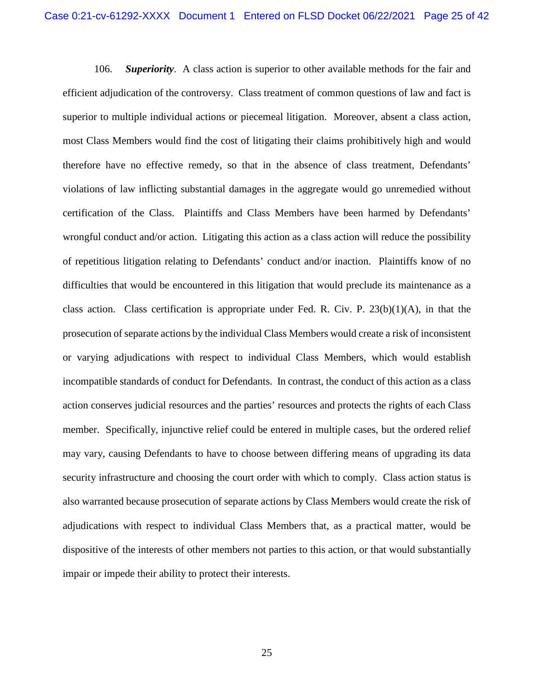106. *Superiority*. A class action is superior to other available methods for the fair and efficient adjudication of the controversy. Class treatment of common questions of law and fact is superior to multiple individual actions or piecemeal litigation. Moreover, absent a class action, most Class Members would find the cost of litigating their claims prohibitively high and would therefore have no effective remedy, so that in the absence of class treatment, Defendants' violations of law inflicting substantial damages in the aggregate would go unremedied without certification of the Class. Plaintiffs and Class Members have been harmed by Defendants' wrongful conduct and/or action. Litigating this action as a class action will reduce the possibility of repetitious litigation relating to Defendants' conduct and/or inaction. Plaintiffs know of no difficulties that would be encountered in this litigation that would preclude its maintenance as a class action. Class certification is appropriate under Fed. R. Civ. P.  $23(b)(1)(A)$ , in that the prosecution of separate actions by the individual Class Members would create a risk of inconsistent or varying adjudications with respect to individual Class Members, which would establish incompatible standards of conduct for Defendants. In contrast, the conduct of this action as a class action conserves judicial resources and the parties' resources and protects the rights of each Class member. Specifically, injunctive relief could be entered in multiple cases, but the ordered relief may vary, causing Defendants to have to choose between differing means of upgrading its data security infrastructure and choosing the court order with which to comply. Class action status is also warranted because prosecution of separate actions by Class Members would create the risk of adjudications with respect to individual Class Members that, as a practical matter, would be dispositive of the interests of other members not parties to this action, or that would substantially impair or impede their ability to protect their interests.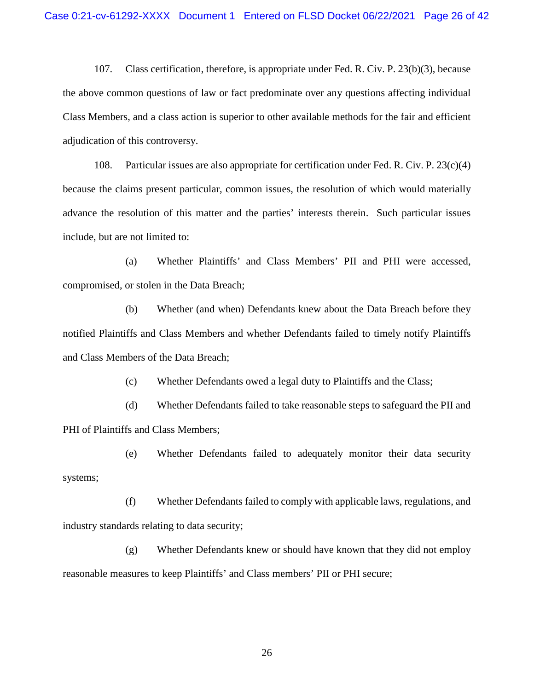107. Class certification, therefore, is appropriate under Fed. R. Civ. P. 23(b)(3), because the above common questions of law or fact predominate over any questions affecting individual Class Members, and a class action is superior to other available methods for the fair and efficient adjudication of this controversy.

108. Particular issues are also appropriate for certification under Fed. R. Civ. P. 23(c)(4) because the claims present particular, common issues, the resolution of which would materially advance the resolution of this matter and the parties' interests therein. Such particular issues include, but are not limited to:

(a) Whether Plaintiffs' and Class Members' PII and PHI were accessed, compromised, or stolen in the Data Breach;

(b) Whether (and when) Defendants knew about the Data Breach before they notified Plaintiffs and Class Members and whether Defendants failed to timely notify Plaintiffs and Class Members of the Data Breach;

(c) Whether Defendants owed a legal duty to Plaintiffs and the Class;

(d) Whether Defendants failed to take reasonable steps to safeguard the PII and PHI of Plaintiffs and Class Members;

(e) Whether Defendants failed to adequately monitor their data security systems;

(f) Whether Defendants failed to comply with applicable laws, regulations, and industry standards relating to data security;

(g) Whether Defendants knew or should have known that they did not employ reasonable measures to keep Plaintiffs' and Class members' PII or PHI secure;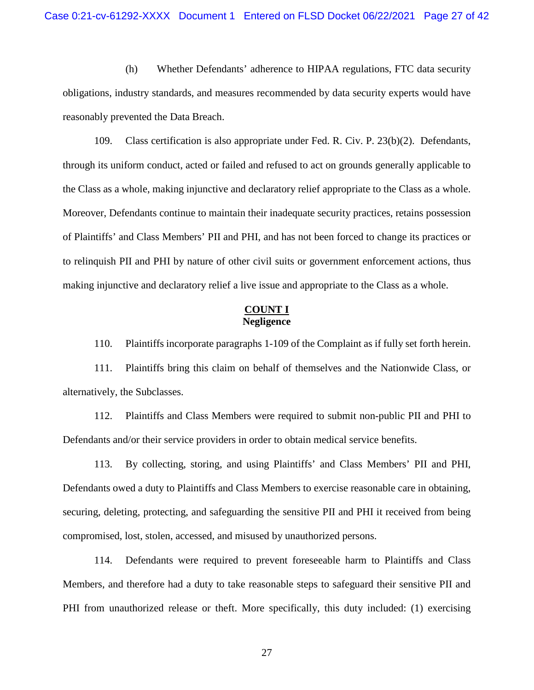(h) Whether Defendants' adherence to HIPAA regulations, FTC data security obligations, industry standards, and measures recommended by data security experts would have reasonably prevented the Data Breach.

109. Class certification is also appropriate under Fed. R. Civ. P. 23(b)(2). Defendants, through its uniform conduct, acted or failed and refused to act on grounds generally applicable to the Class as a whole, making injunctive and declaratory relief appropriate to the Class as a whole. Moreover, Defendants continue to maintain their inadequate security practices, retains possession of Plaintiffs' and Class Members' PII and PHI, and has not been forced to change its practices or to relinquish PII and PHI by nature of other civil suits or government enforcement actions, thus making injunctive and declaratory relief a live issue and appropriate to the Class as a whole.

## **COUNT I Negligence**

110. Plaintiffs incorporate paragraphs 1-109 of the Complaint as if fully set forth herein.

111. Plaintiffs bring this claim on behalf of themselves and the Nationwide Class, or alternatively, the Subclasses.

112. Plaintiffs and Class Members were required to submit non-public PII and PHI to Defendants and/or their service providers in order to obtain medical service benefits.

113. By collecting, storing, and using Plaintiffs' and Class Members' PII and PHI, Defendants owed a duty to Plaintiffs and Class Members to exercise reasonable care in obtaining, securing, deleting, protecting, and safeguarding the sensitive PII and PHI it received from being compromised, lost, stolen, accessed, and misused by unauthorized persons.

114. Defendants were required to prevent foreseeable harm to Plaintiffs and Class Members, and therefore had a duty to take reasonable steps to safeguard their sensitive PII and PHI from unauthorized release or theft. More specifically, this duty included: (1) exercising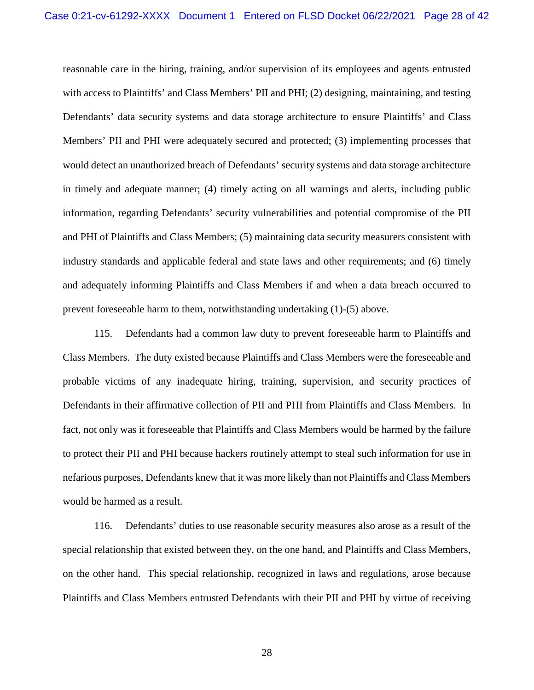reasonable care in the hiring, training, and/or supervision of its employees and agents entrusted with access to Plaintiffs' and Class Members' PII and PHI; (2) designing, maintaining, and testing Defendants' data security systems and data storage architecture to ensure Plaintiffs' and Class Members' PII and PHI were adequately secured and protected; (3) implementing processes that would detect an unauthorized breach of Defendants' security systems and data storage architecture in timely and adequate manner; (4) timely acting on all warnings and alerts, including public information, regarding Defendants' security vulnerabilities and potential compromise of the PII and PHI of Plaintiffs and Class Members; (5) maintaining data security measurers consistent with industry standards and applicable federal and state laws and other requirements; and (6) timely and adequately informing Plaintiffs and Class Members if and when a data breach occurred to prevent foreseeable harm to them, notwithstanding undertaking (1)-(5) above.

115. Defendants had a common law duty to prevent foreseeable harm to Plaintiffs and Class Members. The duty existed because Plaintiffs and Class Members were the foreseeable and probable victims of any inadequate hiring, training, supervision, and security practices of Defendants in their affirmative collection of PII and PHI from Plaintiffs and Class Members. In fact, not only was it foreseeable that Plaintiffs and Class Members would be harmed by the failure to protect their PII and PHI because hackers routinely attempt to steal such information for use in nefarious purposes, Defendants knew that it was more likely than not Plaintiffs and Class Members would be harmed as a result.

116. Defendants' duties to use reasonable security measures also arose as a result of the special relationship that existed between they, on the one hand, and Plaintiffs and Class Members, on the other hand. This special relationship, recognized in laws and regulations, arose because Plaintiffs and Class Members entrusted Defendants with their PII and PHI by virtue of receiving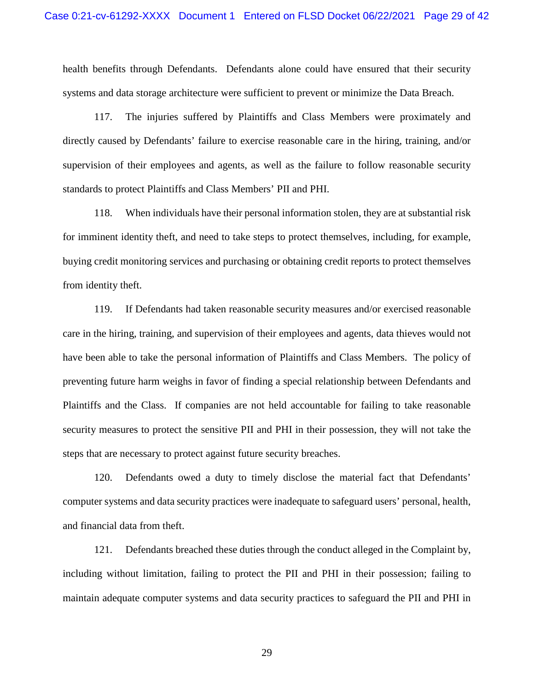health benefits through Defendants. Defendants alone could have ensured that their security systems and data storage architecture were sufficient to prevent or minimize the Data Breach.

117. The injuries suffered by Plaintiffs and Class Members were proximately and directly caused by Defendants' failure to exercise reasonable care in the hiring, training, and/or supervision of their employees and agents, as well as the failure to follow reasonable security standards to protect Plaintiffs and Class Members' PII and PHI.

118. When individuals have their personal information stolen, they are at substantial risk for imminent identity theft, and need to take steps to protect themselves, including, for example, buying credit monitoring services and purchasing or obtaining credit reports to protect themselves from identity theft.

119. If Defendants had taken reasonable security measures and/or exercised reasonable care in the hiring, training, and supervision of their employees and agents, data thieves would not have been able to take the personal information of Plaintiffs and Class Members. The policy of preventing future harm weighs in favor of finding a special relationship between Defendants and Plaintiffs and the Class. If companies are not held accountable for failing to take reasonable security measures to protect the sensitive PII and PHI in their possession, they will not take the steps that are necessary to protect against future security breaches.

120. Defendants owed a duty to timely disclose the material fact that Defendants' computer systems and data security practices were inadequate to safeguard users' personal, health, and financial data from theft.

121. Defendants breached these duties through the conduct alleged in the Complaint by, including without limitation, failing to protect the PII and PHI in their possession; failing to maintain adequate computer systems and data security practices to safeguard the PII and PHI in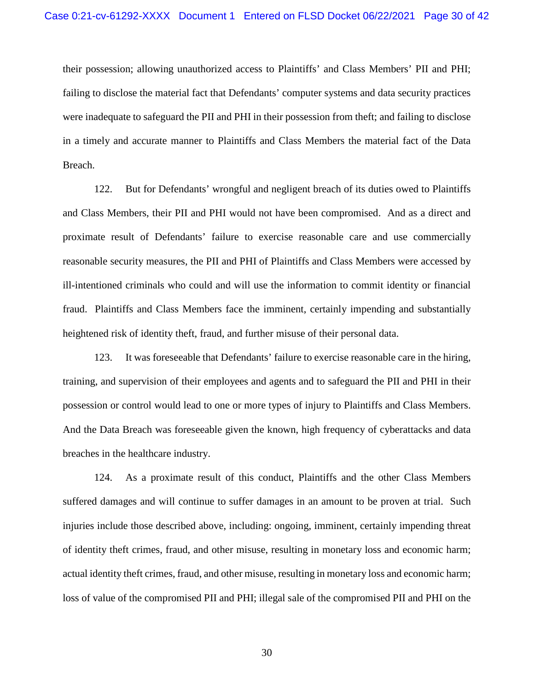their possession; allowing unauthorized access to Plaintiffs' and Class Members' PII and PHI; failing to disclose the material fact that Defendants' computer systems and data security practices were inadequate to safeguard the PII and PHI in their possession from theft; and failing to disclose in a timely and accurate manner to Plaintiffs and Class Members the material fact of the Data Breach.

122. But for Defendants' wrongful and negligent breach of its duties owed to Plaintiffs and Class Members, their PII and PHI would not have been compromised. And as a direct and proximate result of Defendants' failure to exercise reasonable care and use commercially reasonable security measures, the PII and PHI of Plaintiffs and Class Members were accessed by ill-intentioned criminals who could and will use the information to commit identity or financial fraud. Plaintiffs and Class Members face the imminent, certainly impending and substantially heightened risk of identity theft, fraud, and further misuse of their personal data.

123. It was foreseeable that Defendants' failure to exercise reasonable care in the hiring, training, and supervision of their employees and agents and to safeguard the PII and PHI in their possession or control would lead to one or more types of injury to Plaintiffs and Class Members. And the Data Breach was foreseeable given the known, high frequency of cyberattacks and data breaches in the healthcare industry.

124. As a proximate result of this conduct, Plaintiffs and the other Class Members suffered damages and will continue to suffer damages in an amount to be proven at trial. Such injuries include those described above, including: ongoing, imminent, certainly impending threat of identity theft crimes, fraud, and other misuse, resulting in monetary loss and economic harm; actual identity theft crimes, fraud, and other misuse, resulting in monetary loss and economic harm; loss of value of the compromised PII and PHI; illegal sale of the compromised PII and PHI on the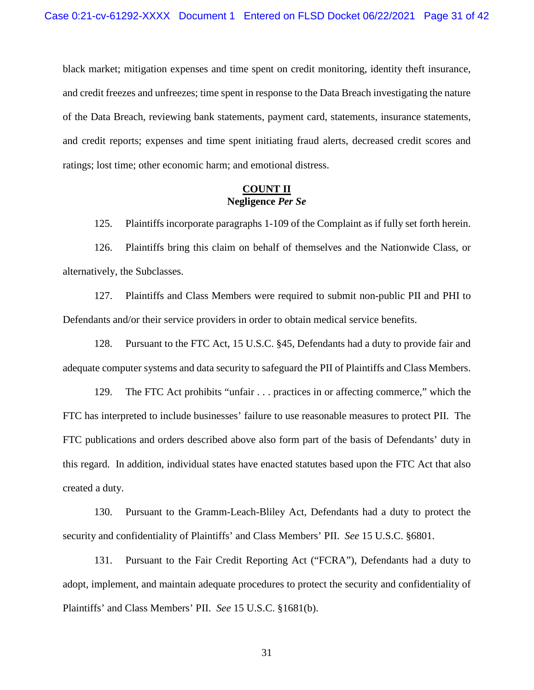black market; mitigation expenses and time spent on credit monitoring, identity theft insurance, and credit freezes and unfreezes; time spent in response to the Data Breach investigating the nature of the Data Breach, reviewing bank statements, payment card, statements, insurance statements, and credit reports; expenses and time spent initiating fraud alerts, decreased credit scores and ratings; lost time; other economic harm; and emotional distress.

## **COUNT II Negligence** *Per Se*

125. Plaintiffs incorporate paragraphs 1-109 of the Complaint as if fully set forth herein.

126. Plaintiffs bring this claim on behalf of themselves and the Nationwide Class, or alternatively, the Subclasses.

127. Plaintiffs and Class Members were required to submit non-public PII and PHI to Defendants and/or their service providers in order to obtain medical service benefits.

128. Pursuant to the FTC Act, 15 U.S.C. §45, Defendants had a duty to provide fair and adequate computer systems and data security to safeguard the PII of Plaintiffs and Class Members.

129. The FTC Act prohibits "unfair . . . practices in or affecting commerce," which the FTC has interpreted to include businesses' failure to use reasonable measures to protect PII. The FTC publications and orders described above also form part of the basis of Defendants' duty in this regard. In addition, individual states have enacted statutes based upon the FTC Act that also created a duty.

130. Pursuant to the Gramm-Leach-Bliley Act, Defendants had a duty to protect the security and confidentiality of Plaintiffs' and Class Members' PII. *See* 15 U.S.C. §6801.

131. Pursuant to the Fair Credit Reporting Act ("FCRA"), Defendants had a duty to adopt, implement, and maintain adequate procedures to protect the security and confidentiality of Plaintiffs' and Class Members' PII. *See* 15 U.S.C. §1681(b).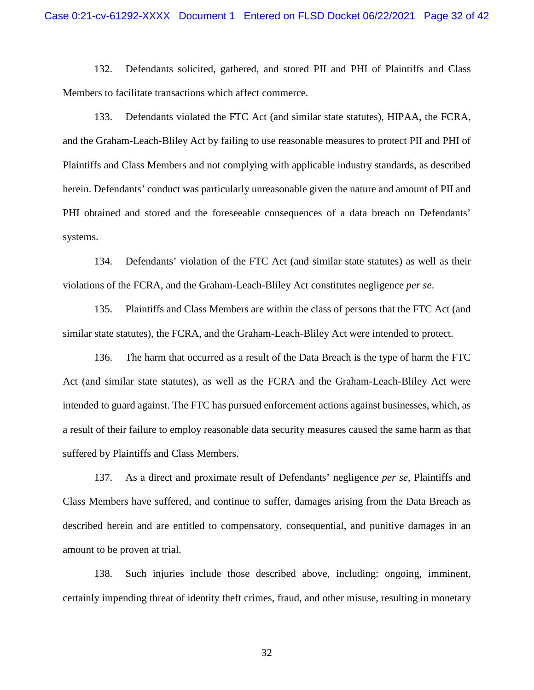132. Defendants solicited, gathered, and stored PII and PHI of Plaintiffs and Class Members to facilitate transactions which affect commerce.

133. Defendants violated the FTC Act (and similar state statutes), HIPAA, the FCRA, and the Graham-Leach-Bliley Act by failing to use reasonable measures to protect PII and PHI of Plaintiffs and Class Members and not complying with applicable industry standards, as described herein. Defendants' conduct was particularly unreasonable given the nature and amount of PII and PHI obtained and stored and the foreseeable consequences of a data breach on Defendants' systems.

134. Defendants' violation of the FTC Act (and similar state statutes) as well as their violations of the FCRA, and the Graham-Leach-Bliley Act constitutes negligence *per se*.

135. Plaintiffs and Class Members are within the class of persons that the FTC Act (and similar state statutes), the FCRA, and the Graham-Leach-Bliley Act were intended to protect.

136. The harm that occurred as a result of the Data Breach is the type of harm the FTC Act (and similar state statutes), as well as the FCRA and the Graham-Leach-Bliley Act were intended to guard against. The FTC has pursued enforcement actions against businesses, which, as a result of their failure to employ reasonable data security measures caused the same harm as that suffered by Plaintiffs and Class Members.

137. As a direct and proximate result of Defendants' negligence *per se*, Plaintiffs and Class Members have suffered, and continue to suffer, damages arising from the Data Breach as described herein and are entitled to compensatory, consequential, and punitive damages in an amount to be proven at trial.

138. Such injuries include those described above, including: ongoing, imminent, certainly impending threat of identity theft crimes, fraud, and other misuse, resulting in monetary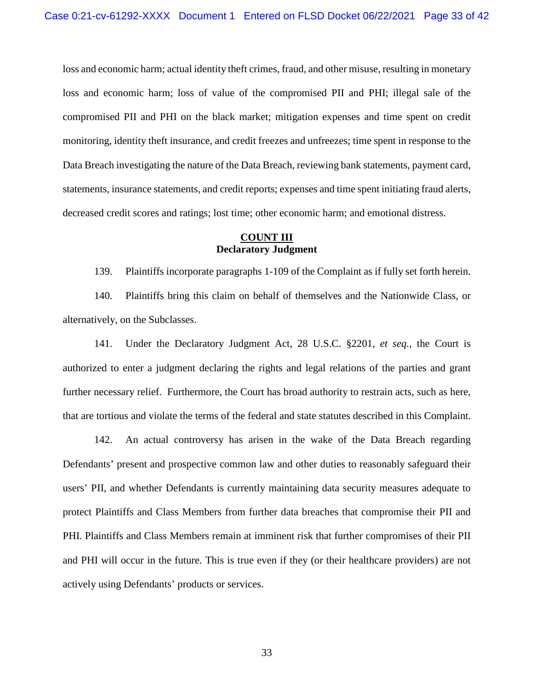loss and economic harm; actual identity theft crimes, fraud, and other misuse, resulting in monetary loss and economic harm; loss of value of the compromised PII and PHI; illegal sale of the compromised PII and PHI on the black market; mitigation expenses and time spent on credit monitoring, identity theft insurance, and credit freezes and unfreezes; time spent in response to the Data Breach investigating the nature of the Data Breach, reviewing bank statements, payment card, statements, insurance statements, and credit reports; expenses and time spent initiating fraud alerts, decreased credit scores and ratings; lost time; other economic harm; and emotional distress.

# **COUNT III Declaratory Judgment**

139. Plaintiffs incorporate paragraphs 1-109 of the Complaint as if fully set forth herein.

140. Plaintiffs bring this claim on behalf of themselves and the Nationwide Class, or alternatively, on the Subclasses.

141. Under the Declaratory Judgment Act, 28 U.S.C. §2201, *et seq.*, the Court is authorized to enter a judgment declaring the rights and legal relations of the parties and grant further necessary relief. Furthermore, the Court has broad authority to restrain acts, such as here, that are tortious and violate the terms of the federal and state statutes described in this Complaint.

142. An actual controversy has arisen in the wake of the Data Breach regarding Defendants' present and prospective common law and other duties to reasonably safeguard their users' PII, and whether Defendants is currently maintaining data security measures adequate to protect Plaintiffs and Class Members from further data breaches that compromise their PII and PHI. Plaintiffs and Class Members remain at imminent risk that further compromises of their PII and PHI will occur in the future. This is true even if they (or their healthcare providers) are not actively using Defendants' products or services.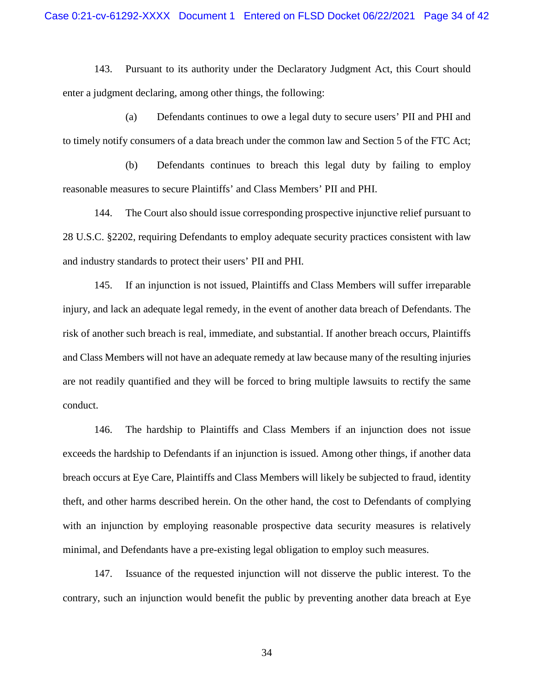143. Pursuant to its authority under the Declaratory Judgment Act, this Court should enter a judgment declaring, among other things, the following:

(a) Defendants continues to owe a legal duty to secure users' PII and PHI and to timely notify consumers of a data breach under the common law and Section 5 of the FTC Act;

(b) Defendants continues to breach this legal duty by failing to employ reasonable measures to secure Plaintiffs' and Class Members' PII and PHI.

144. The Court also should issue corresponding prospective injunctive relief pursuant to 28 U.S.C. §2202, requiring Defendants to employ adequate security practices consistent with law and industry standards to protect their users' PII and PHI.

145. If an injunction is not issued, Plaintiffs and Class Members will suffer irreparable injury, and lack an adequate legal remedy, in the event of another data breach of Defendants. The risk of another such breach is real, immediate, and substantial. If another breach occurs, Plaintiffs and Class Members will not have an adequate remedy at law because many of the resulting injuries are not readily quantified and they will be forced to bring multiple lawsuits to rectify the same conduct.

146. The hardship to Plaintiffs and Class Members if an injunction does not issue exceeds the hardship to Defendants if an injunction is issued. Among other things, if another data breach occurs at Eye Care, Plaintiffs and Class Members will likely be subjected to fraud, identity theft, and other harms described herein. On the other hand, the cost to Defendants of complying with an injunction by employing reasonable prospective data security measures is relatively minimal, and Defendants have a pre-existing legal obligation to employ such measures.

147. Issuance of the requested injunction will not disserve the public interest. To the contrary, such an injunction would benefit the public by preventing another data breach at Eye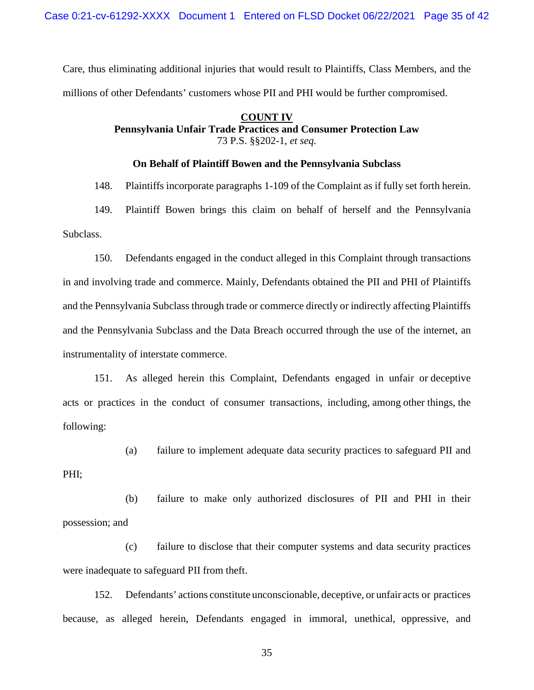Care, thus eliminating additional injuries that would result to Plaintiffs, Class Members, and the millions of other Defendants' customers whose PII and PHI would be further compromised.

# **COUNT IV**

**Pennsylvania Unfair Trade Practices and Consumer Protection Law**  73 P.S. §§202-1, *et seq.*

#### **On Behalf of Plaintiff Bowen and the Pennsylvania Subclass**

148. Plaintiffs incorporate paragraphs 1-109 of the Complaint as if fully set forth herein.

149. Plaintiff Bowen brings this claim on behalf of herself and the Pennsylvania Subclass.

150. Defendants engaged in the conduct alleged in this Complaint through transactions in and involving trade and commerce. Mainly, Defendants obtained the PII and PHI of Plaintiffs and the Pennsylvania Subclass through trade or commerce directly or indirectly affecting Plaintiffs and the Pennsylvania Subclass and the Data Breach occurred through the use of the internet, an instrumentality of interstate commerce.

151. As alleged herein this Complaint, Defendants engaged in unfair or deceptive acts or practices in the conduct of consumer transactions, including, among other things, the following:

(a) failure to implement adequate data security practices to safeguard PII and

PHI;

(b) failure to make only authorized disclosures of PII and PHI in their possession; and

(c) failure to disclose that their computer systems and data security practices were inadequate to safeguard PII from theft.

152. Defendants' actions constitute unconscionable, deceptive, or unfair acts or practices because, as alleged herein, Defendants engaged in immoral, unethical, oppressive, and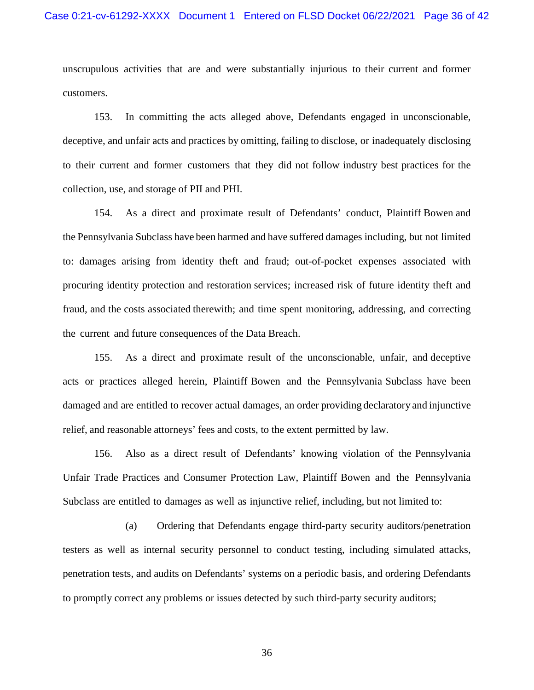unscrupulous activities that are and were substantially injurious to their current and former customers.

153. In committing the acts alleged above, Defendants engaged in unconscionable, deceptive, and unfair acts and practices by omitting, failing to disclose, or inadequately disclosing to their current and former customers that they did not follow industry best practices for the collection, use, and storage of PII and PHI.

154. As a direct and proximate result of Defendants' conduct, Plaintiff Bowen and the Pennsylvania Subclass have been harmed and have suffered damages including, but not limited to: damages arising from identity theft and fraud; out-of-pocket expenses associated with procuring identity protection and restoration services; increased risk of future identity theft and fraud, and the costs associated therewith; and time spent monitoring, addressing, and correcting the current and future consequences of the Data Breach.

155. As a direct and proximate result of the unconscionable, unfair, and deceptive acts or practices alleged herein, Plaintiff Bowen and the Pennsylvania Subclass have been damaged and are entitled to recover actual damages, an order providing declaratory and injunctive relief, and reasonable attorneys' fees and costs, to the extent permitted by law.

156. Also as a direct result of Defendants' knowing violation of the Pennsylvania Unfair Trade Practices and Consumer Protection Law, Plaintiff Bowen and the Pennsylvania Subclass are entitled to damages as well as injunctive relief, including, but not limited to:

(a) Ordering that Defendants engage third-party security auditors/penetration testers as well as internal security personnel to conduct testing, including simulated attacks, penetration tests, and audits on Defendants' systems on a periodic basis, and ordering Defendants to promptly correct any problems or issues detected by such third-party security auditors;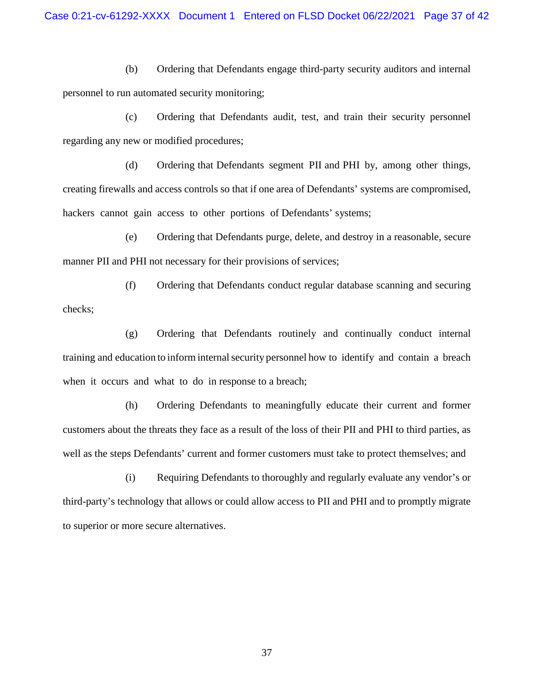(b) Ordering that Defendants engage third-party security auditors and internal personnel to run automated security monitoring;

(c) Ordering that Defendants audit, test, and train their security personnel regarding any new or modified procedures;

(d) Ordering that Defendants segment PII and PHI by, among other things, creating firewalls and access controls so that if one area of Defendants' systems are compromised, hackers cannot gain access to other portions of Defendants' systems;

(e) Ordering that Defendants purge, delete, and destroy in a reasonable, secure manner PII and PHI not necessary for their provisions of services;

(f) Ordering that Defendants conduct regular database scanning and securing checks;

(g) Ordering that Defendants routinely and continually conduct internal training and education to inform internalsecurity personnel how to identify and contain a breach when it occurs and what to do in response to a breach;

(h) Ordering Defendants to meaningfully educate their current and former customers about the threats they face as a result of the loss of their PII and PHI to third parties, as well as the steps Defendants' current and former customers must take to protect themselves; and

(i) Requiring Defendants to thoroughly and regularly evaluate any vendor's or third-party's technology that allows or could allow access to PII and PHI and to promptly migrate to superior or more secure alternatives.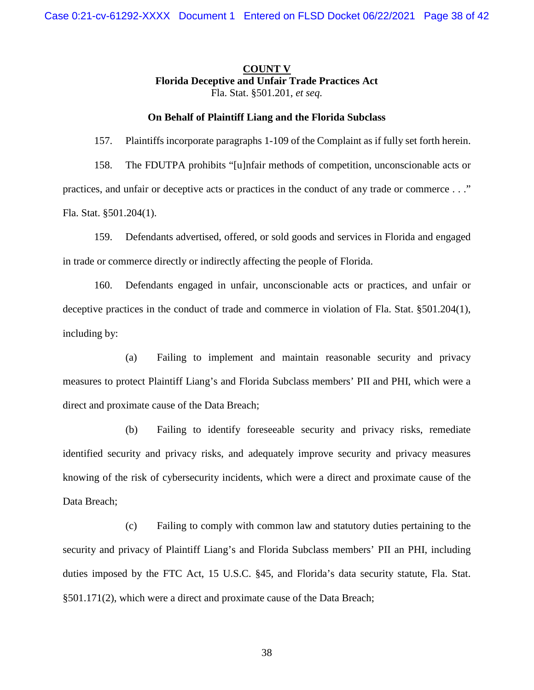# **COUNT V Florida Deceptive and Unfair Trade Practices Act** Fla. Stat. §501.201, *et seq.*

#### **On Behalf of Plaintiff Liang and the Florida Subclass**

157. Plaintiffs incorporate paragraphs 1-109 of the Complaint as if fully set forth herein.

158. The FDUTPA prohibits "[u]nfair methods of competition, unconscionable acts or practices, and unfair or deceptive acts or practices in the conduct of any trade or commerce . . ." Fla. Stat. §501.204(1).

159. Defendants advertised, offered, or sold goods and services in Florida and engaged in trade or commerce directly or indirectly affecting the people of Florida.

160. Defendants engaged in unfair, unconscionable acts or practices, and unfair or deceptive practices in the conduct of trade and commerce in violation of Fla. Stat. §501.204(1), including by:

(a) Failing to implement and maintain reasonable security and privacy measures to protect Plaintiff Liang's and Florida Subclass members' PII and PHI, which were a direct and proximate cause of the Data Breach;

(b) Failing to identify foreseeable security and privacy risks, remediate identified security and privacy risks, and adequately improve security and privacy measures knowing of the risk of cybersecurity incidents, which were a direct and proximate cause of the Data Breach;

(c) Failing to comply with common law and statutory duties pertaining to the security and privacy of Plaintiff Liang's and Florida Subclass members' PII an PHI, including duties imposed by the FTC Act, 15 U.S.C. §45, and Florida's data security statute, Fla. Stat. §501.171(2), which were a direct and proximate cause of the Data Breach;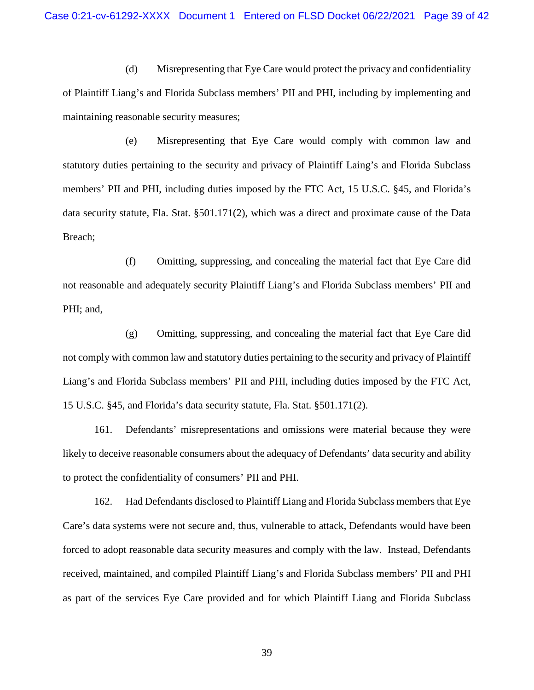(d) Misrepresenting that Eye Care would protect the privacy and confidentiality of Plaintiff Liang's and Florida Subclass members' PII and PHI, including by implementing and maintaining reasonable security measures;

(e) Misrepresenting that Eye Care would comply with common law and statutory duties pertaining to the security and privacy of Plaintiff Laing's and Florida Subclass members' PII and PHI, including duties imposed by the FTC Act, 15 U.S.C. §45, and Florida's data security statute, Fla. Stat. §501.171(2), which was a direct and proximate cause of the Data Breach;

(f) Omitting, suppressing, and concealing the material fact that Eye Care did not reasonable and adequately security Plaintiff Liang's and Florida Subclass members' PII and PHI; and,

(g) Omitting, suppressing, and concealing the material fact that Eye Care did not comply with common law and statutory duties pertaining to the security and privacy of Plaintiff Liang's and Florida Subclass members' PII and PHI, including duties imposed by the FTC Act, 15 U.S.C. §45, and Florida's data security statute, Fla. Stat. §501.171(2).

161. Defendants' misrepresentations and omissions were material because they were likely to deceive reasonable consumers about the adequacy of Defendants' data security and ability to protect the confidentiality of consumers' PII and PHI.

162. Had Defendants disclosed to Plaintiff Liang and Florida Subclass members that Eye Care's data systems were not secure and, thus, vulnerable to attack, Defendants would have been forced to adopt reasonable data security measures and comply with the law. Instead, Defendants received, maintained, and compiled Plaintiff Liang's and Florida Subclass members' PII and PHI as part of the services Eye Care provided and for which Plaintiff Liang and Florida Subclass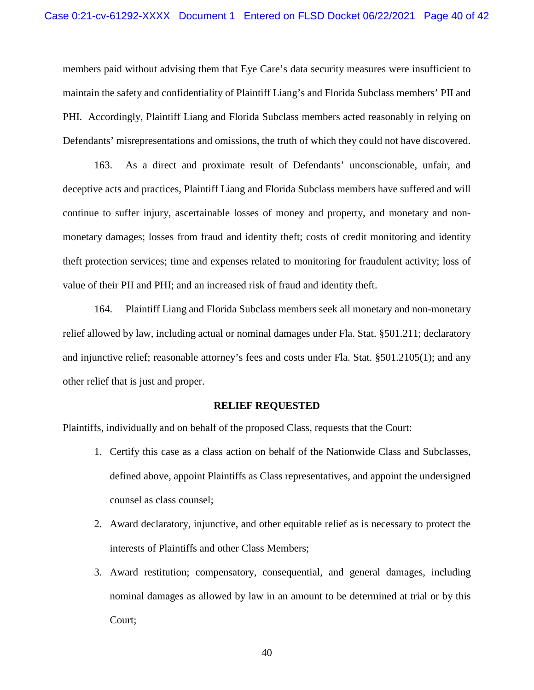members paid without advising them that Eye Care's data security measures were insufficient to maintain the safety and confidentiality of Plaintiff Liang's and Florida Subclass members' PII and PHI. Accordingly, Plaintiff Liang and Florida Subclass members acted reasonably in relying on Defendants' misrepresentations and omissions, the truth of which they could not have discovered.

163. As a direct and proximate result of Defendants' unconscionable, unfair, and deceptive acts and practices, Plaintiff Liang and Florida Subclass members have suffered and will continue to suffer injury, ascertainable losses of money and property, and monetary and nonmonetary damages; losses from fraud and identity theft; costs of credit monitoring and identity theft protection services; time and expenses related to monitoring for fraudulent activity; loss of value of their PII and PHI; and an increased risk of fraud and identity theft.

164. Plaintiff Liang and Florida Subclass members seek all monetary and non-monetary relief allowed by law, including actual or nominal damages under Fla. Stat. §501.211; declaratory and injunctive relief; reasonable attorney's fees and costs under Fla. Stat. §501.2105(1); and any other relief that is just and proper.

#### **RELIEF REQUESTED**

Plaintiffs, individually and on behalf of the proposed Class, requests that the Court:

- 1. Certify this case as a class action on behalf of the Nationwide Class and Subclasses, defined above, appoint Plaintiffs as Class representatives, and appoint the undersigned counsel as class counsel;
- 2. Award declaratory, injunctive, and other equitable relief as is necessary to protect the interests of Plaintiffs and other Class Members;
- 3. Award restitution; compensatory, consequential, and general damages, including nominal damages as allowed by law in an amount to be determined at trial or by this Court;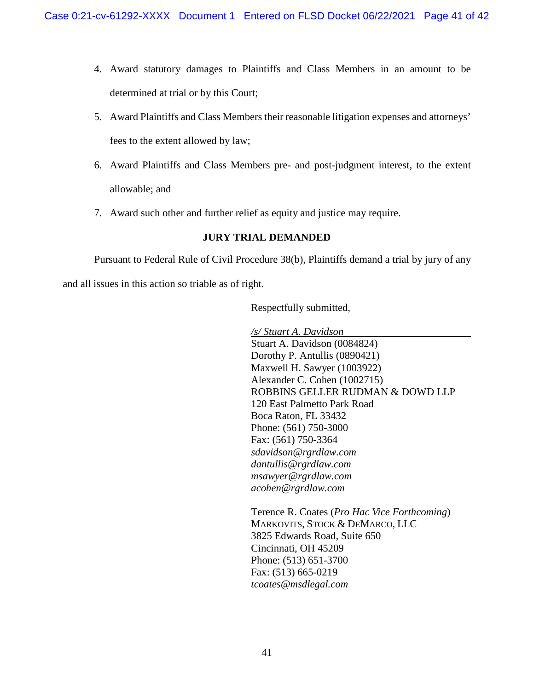- 4. Award statutory damages to Plaintiffs and Class Members in an amount to be determined at trial or by this Court;
- 5. Award Plaintiffs and Class Members their reasonable litigation expenses and attorneys' fees to the extent allowed by law;
- 6. Award Plaintiffs and Class Members pre- and post-judgment interest, to the extent allowable; and
- 7. Award such other and further relief as equity and justice may require.

# **JURY TRIAL DEMANDED**

Pursuant to Federal Rule of Civil Procedure 38(b), Plaintiffs demand a trial by jury of any and all issues in this action so triable as of right.

Respectfully submitted,

*/s/ Stuart A. Davidson* Stuart A. Davidson (0084824) Dorothy P. Antullis (0890421) Maxwell H. Sawyer (1003922) Alexander C. Cohen (1002715) ROBBINS GELLER RUDMAN & DOWD LLP 120 East Palmetto Park Road Boca Raton, FL 33432 Phone: (561) 750-3000 Fax: (561) 750-3364 *sdavidson@rgrdlaw.com dantullis@rgrdlaw.com msawyer@rgrdlaw.com acohen@rgrdlaw.com*

Terence R. Coates (*Pro Hac Vice Forthcoming*) MARKOVITS, STOCK & DEMARCO, LLC 3825 Edwards Road, Suite 650 Cincinnati, OH 45209 Phone: (513) 651-3700 Fax: (513) 665-0219 *tcoates@msdlegal.com*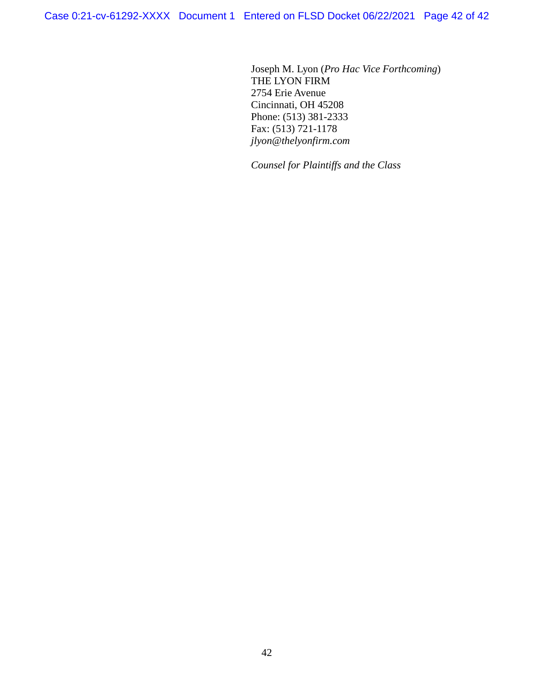Case 0:21-cv-61292-XXXX Document 1 Entered on FLSD Docket 06/22/2021 Page 42 of 42

Joseph M. Lyon (*Pro Hac Vice Forthcoming*) THE LYON FIRM 2754 Erie Avenue Cincinnati, OH 45208 Phone: (513) 381-2333 Fax: (513) 721-1178 *jlyon@thelyonfirm.com*

*Counsel for Plaintiffs and the Class*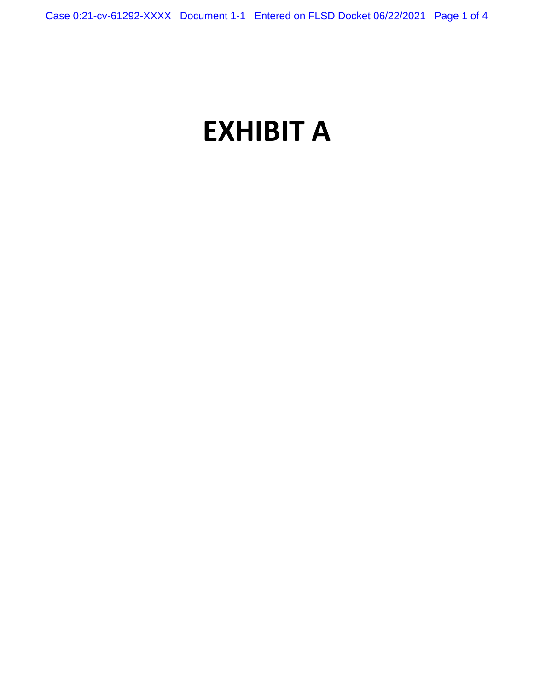# **EXHIBIT A**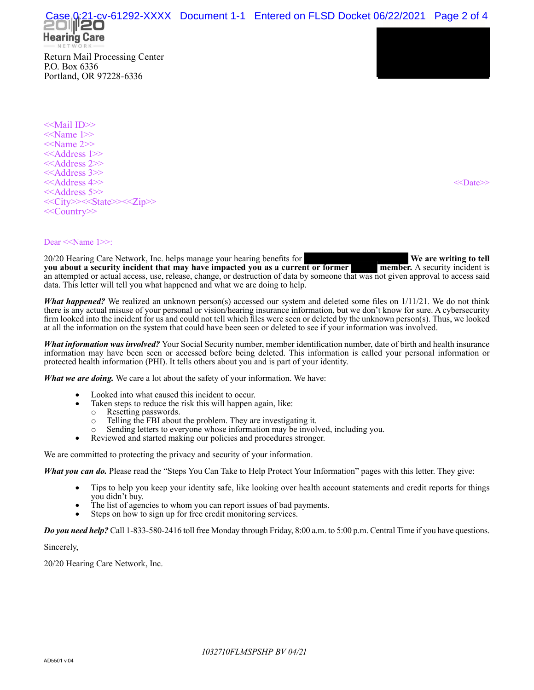21-cv-61292-XXXX Document 1-1 Entered on FLSD Docket 06/22/2021 Page 2 of 4



Return Mail Processing Center P.O. Box 6336 Portland, OR 97228-6336

<<Mail ID>> <<Name 1>>  $<<$ Name 2>> <<Address 1>> <<Address 2>> <<Address 3>> <<Address 4>> <<>>><<>>>>>><<>><<>><<>
<< <<Address 5>> <<City>><<State>><<Zip>> <<Country>>

#### Dear <<Name 1>>:

20/20 Hearing Care Network, Inc. helps manage your hearing benefits for **We are writing to tell**<br>**you about a security incident that may have impacted you as a current or former** member. A security incident is you about a security incident that may have impacted you as a current or former an attempted or actual access, use, release, change, or destruction of data by someone that was not given approval to access said data. This letter will tell you what happened and what we are doing to help.

*What happened?* We realized an unknown person(s) accessed our system and deleted some files on 1/11/21. We do not think there is any actual misuse of your personal or vision/hearing insurance information, but we don't know for sure. A cybersecurity firm looked into the incident for us and could not tell which files were seen or deleted by the unknown person(s). Thus, we looked at all the information on the system that could have been seen or deleted to see if your information was involved.

*What information was involved?* Your Social Security number, member identification number, date of birth and health insurance information may have been seen or accessed before being deleted. This information is called your personal information or protected health information (PHI). It tells others about you and is part of your identity.

*What we are doing.* We care a lot about the safety of your information. We have:

- Looked into what caused this incident to occur.
	- Taken steps to reduce the risk this will happen again, like:
	- o Resetting passwords.<br>
	o Telling the FBI about
		- Telling the FBI about the problem. They are investigating it.
	- Sending letters to everyone whose information may be involved, including you.
- Reviewed and started making our policies and procedures stronger.

We are committed to protecting the privacy and security of your information.

*What you can do.* Please read the "Steps You Can Take to Help Protect Your Information" pages with this letter. They give:

- Tips to help you keep your identity safe, like looking over health account statements and credit reports for things you didn't buy.
- The list of agencies to whom you can report issues of bad payments.
- Steps on how to sign up for free credit monitoring services.

*Do you need help?* Call 1-833-580-2416 toll free Monday through Friday, 8:00 a.m. to 5:00 p.m. Central Time if you have questions.

Sincerely,

20/20 Hearing Care Network, Inc.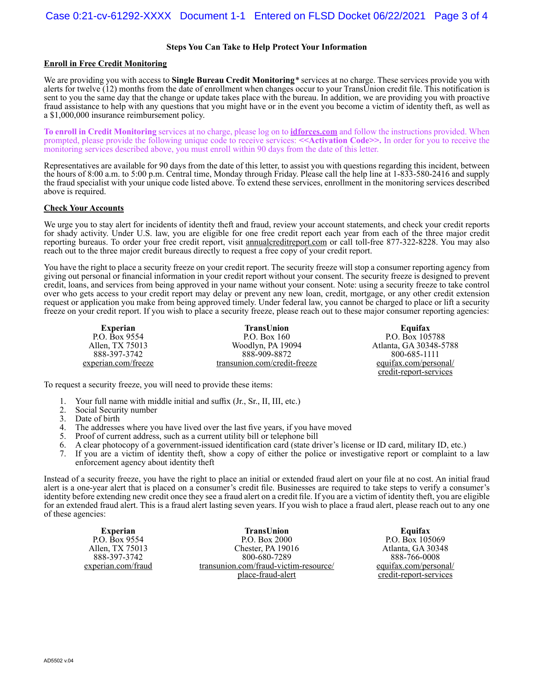#### **Steps You Can Take to Help Protect Your Information**

#### **Enroll in Free Credit Monitoring**

We are providing you with access to **Single Bureau Credit Monitoring***\** services at no charge. These services provide you with alerts for twelve (12) months from the date of enrollment when changes occur to your TransUnion credit file. This notification is sent to you the same day that the change or update takes place with the bureau. In addition, we are providing you with proactive fraud assistance to help with any questions that you might have or in the event you become a victim of identity theft, as well as a \$1,000,000 insurance reimbursement policy.

**To enroll in Credit Monitoring** services at no charge, please log on to **idforces.com** and follow the instructions provided. When prompted, please provide the following unique code to receive services: **<<Activation Code>>.** In order for you to receive the monitoring services described above, you must enroll within 90 days from the date of this letter.

Representatives are available for 90 days from the date of this letter, to assist you with questions regarding this incident, between the hours of 8:00 a.m. to 5:00 p.m. Central time, Monday through Friday. Please call the help line at 1-833-580-2416 and supply the fraud specialist with your unique code listed above. To extend these services, enrollment in the monitoring services described above is required.

#### **Check Your Accounts**

We urge you to stay alert for incidents of identity theft and fraud, review your account statements, and check your credit reports for shady activity. Under U.S. law, you are eligible for one free credit report each year from each of the three major credit reporting bureaus. To order your free credit report, visit annualcreditreport.com or call toll-free 877-322-8228. You may also reach out to the three major credit bureaus directly to request a free copy of your credit report.

You have the right to place a security freeze on your credit report. The security freeze will stop a consumer reporting agency from giving out personal or financial information in your credit report without your consent. The security freeze is designed to prevent credit, loans, and services from being approved in your name without your consent. Note: using a security freeze to take control over who gets access to your credit report may delay or prevent any new loan, credit, mortgage, or any other credit extension request or application you make from being approved timely. Under federal law, you cannot be charged to place or lift a security freeze on your credit report. If you wish to place a security freeze, please reach out to these major consumer reporting agencies:

| <b>Experian</b>     | TransUnion                   | Equifax                |
|---------------------|------------------------------|------------------------|
| P.O. Box 9554       | P.O. Box $160$               | P.O. Box 105788        |
| Allen, TX 75013     | Woodlyn, PA 19094            | Atlanta, GA 30348-578  |
| 888-397-3742        | 888-909-8872                 | 800-685-1111           |
| experian.com/freeze | transunion.com/credit-freeze | equifax.com/personal/  |
|                     |                              | credit-report-services |

To request a security freeze, you will need to provide these items:

- 1. Your full name with middle initial and suffix (Jr., Sr., II, III, etc.)
- 2. Social Security number<br>3. Date of birth
- Date of birth
- 4. The addresses where you have lived over the last five years, if you have moved 5. Proof of current address, such as a current utility bill or telephone bill
- 
- 5. Proof of current address, such as a current utility bill or telephone bill 6. A clear photocopy of a government-issued identification card (state dr
- 6. A clear photocopy of a government-issued identification card (state driver's license or ID card, military ID, etc.) If you are a victim of identity theft, show a copy of either the police or investigative report or complaint to a law enforcement agency about identity theft

Instead of a security freeze, you have the right to place an initial or extended fraud alert on your file at no cost. An initial fraud alert is a one-year alert that is placed on a consumer's credit file. Businesses are required to take steps to verify a consumer's identity before extending new credit once they see a fraud alert on a credit file. If you are a victim of identity theft, you are eligible for an extended fraud alert. This is a fraud alert lasting seven years. If you wish to place a fraud alert, please reach out to any one of these agencies:

**Experian** P.O. Box 9554 Allen, TX 75013 888-397-3742 experian.com/fraud

**TransUnion** P.O. Box 2000 Chester, PA 19016 800-680-7289 transunion.com/fraud-victim-resource/ place-fraud-alert

**Equifax** P.O. Box 105069 Atlanta, GA 30348 888-766-0008 equifax.com/personal/ credit-report-services

-5788